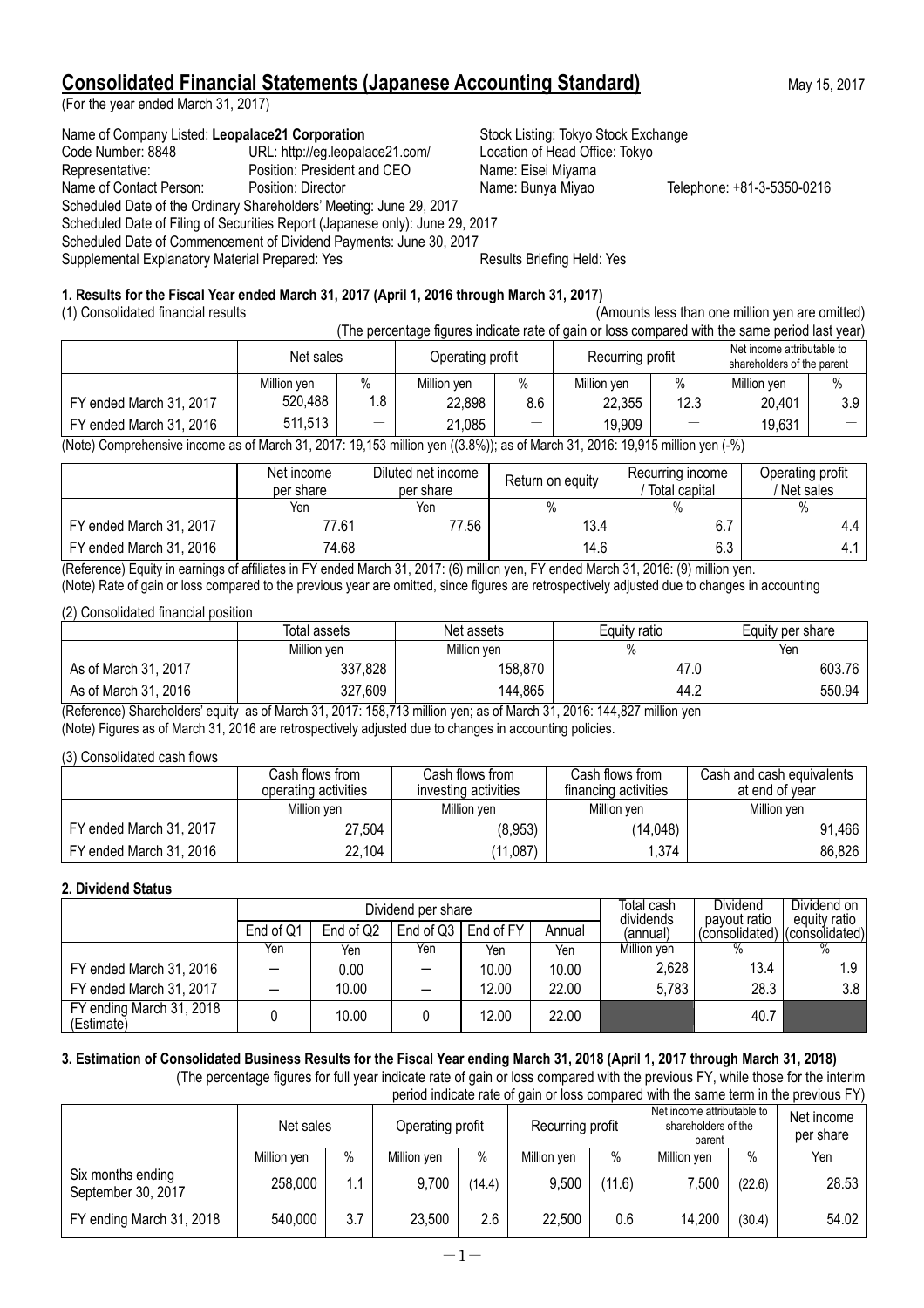# **Consolidated Financial Statements (Japanese Accounting Standard)** May 15, 2017

(For the year ended March 31, 2017)

## Name of Company Listed: Leopalace21 Corporation **Stock Listing: Tokyo Stock Exchange**

Code Number: 8848 URL: http://eg.leopalace21.com/ Location of Head Office: Tokyo Representative: example and Department Position: President and CEO Name: Eisei Miyama Name of Contact Person: Position: Director Name: Bunya Miyao Telephone: +81-3-5350-0216 Scheduled Date of the Ordinary Shareholders' Meeting: June 29, 2017 Scheduled Date of Filing of Securities Report (Japanese only): June 29, 2017 Scheduled Date of Commencement of Dividend Payments: June 30, 2017 Supplemental Explanatory Material Prepared: Yes Results Briefing Held: Yes

## **1. Results for the Fiscal Year ended March 31, 2017 (April 1, 2016 through March 31, 2017)**

(1) Consolidated financial results (Amounts less than one million yen are omitted) (The percentage figures indicate rate of gain or loss compared with the same period last year)

| The percentage induces indicate rate of gain or loss compared with the same period last year. The                                                                                               |             |                          |                  |                          |                  |      |                                                          |                  |
|-------------------------------------------------------------------------------------------------------------------------------------------------------------------------------------------------|-------------|--------------------------|------------------|--------------------------|------------------|------|----------------------------------------------------------|------------------|
|                                                                                                                                                                                                 | Net sales   |                          | Operating profit |                          | Recurring profit |      | Net income attributable to<br>shareholders of the parent |                  |
|                                                                                                                                                                                                 | Million yen | %                        | Million ven      | $\%$                     | Million ven      | $\%$ | Million ven                                              | $\%$             |
| FY ended March 31, 2017                                                                                                                                                                         | 520,488     | 1.8                      | 22,898           | 8.6                      | 22,355           | 12.3 | 20,401                                                   | 3.9 <sub>1</sub> |
| FY ended March 31, 2016                                                                                                                                                                         | 511,513     | $\overline{\phantom{m}}$ | 21.085           | $\overline{\phantom{0}}$ | 19.909           | --   | 19,631                                                   |                  |
| $\langle 0.111 \rangle$ Commission in the set of March 24, 2047, 40,452 million and $\langle 2.202 \rangle$ and $\langle 0.402 \rangle$ and $\langle 0.402 \rangle$ and $\langle 0.402 \rangle$ |             |                          |                  |                          |                  |      |                                                          |                  |

(Note) Comprehensive income as of March 31, 2017: 19,153 million yen ((3.8%)); as of March 31, 2016: 19,915 million yen (-%)

|                         | Net income<br>per share | Diluted net income<br>per share | Return on equity | Recurring income<br>/ Total capital | Operating profit<br>Net sales |
|-------------------------|-------------------------|---------------------------------|------------------|-------------------------------------|-------------------------------|
|                         | Yen                     | Yen                             | %                |                                     | %                             |
| FY ended March 31, 2017 | 77.61                   | 77.56                           | 13.4             |                                     |                               |
| FY ended March 31, 2016 | 74.68                   | $\hspace{0.05cm}$               | 14.6             | 6.3                                 |                               |

(Reference) Equity in earnings of affiliates in FY ended March 31, 2017: (6) million yen, FY ended March 31, 2016: (9) million yen.

(Note) Rate of gain or loss compared to the previous year are omitted, since figures are retrospectively adjusted due to changes in accounting (2) Consolidated financial position

|                      | Total assets | Net assets  | Equity ratio | Equity per share |  |
|----------------------|--------------|-------------|--------------|------------------|--|
|                      | Million yen  | Million yen | $\%$         | Yen              |  |
| As of March 31, 2017 | 337,828      | 158,870     | 47.0         | 603.76           |  |
| As of March 31, 2016 | 327,609      | 144,865     | 44.2         | 550.94           |  |

(Reference) Shareholders' equity as of March 31, 2017: 158,713 million yen; as of March 31, 2016: 144,827 million yen (Note) Figures as of March 31, 2016 are retrospectively adjusted due to changes in accounting policies.

(3) Consolidated cash flows

|                         | Cash flows from<br>operating activities | Cash flows from .<br>investing activities | Cash flows from .<br>financing activities | Cash and cash equivalents<br>at end of vear |
|-------------------------|-----------------------------------------|-------------------------------------------|-------------------------------------------|---------------------------------------------|
|                         | Million yen                             | Million yen                               | Million yen                               | Million yen                                 |
| FY ended March 31, 2017 | 27,504                                  | (8,953)                                   | (14, 048)                                 | 91,466                                      |
| FY ended March 31, 2016 | 22,104                                  | (11, 087)                                 | 1,374                                     | 86,826                                      |

### **2. Dividend Status**

|                                        |           |           | Dividend per share | Total cash<br>dividends | Dividend<br>payout ratio | Dividend on<br>equity ratio |                               |      |
|----------------------------------------|-----------|-----------|--------------------|-------------------------|--------------------------|-----------------------------|-------------------------------|------|
|                                        | End of Q1 | End of Q2 | End of $Q3$        | End of FY               | Annual                   | (annual)                    | (consolidated) (consolidated) |      |
|                                        | Yen       | Yen       | Yen                | Yen                     | Yen                      | Million ven                 | %                             | $\%$ |
| FY ended March 31, 2016                |           | 0.00      |                    | 10.00                   | 10.00                    | 2,628                       | 13.4                          | 1.9  |
| FY ended March 31, 2017                |           | 10.00     |                    | 12.00                   | 22.00                    | 5,783                       | 28.3                          | 3.8  |
| FY ending March 31, 2018<br>(Estimate) |           | 10.00     |                    | 12.00                   | 22.00                    |                             | 40.7                          |      |

### **3. Estimation of Consolidated Business Results for the Fiscal Year ending March 31, 2018 (April 1, 2017 through March 31, 2018)**

(The percentage figures for full year indicate rate of gain or loss compared with the previous FY, while those for the interim period indicate rate of gain or loss compared with the same term in the previous FY)

|                                         | Net sales   |      | Operating profit |        | Recurring profit |        | Net income attributable to<br>shareholders of the<br>parent |        | Net income<br>per share |
|-----------------------------------------|-------------|------|------------------|--------|------------------|--------|-------------------------------------------------------------|--------|-------------------------|
|                                         | Million yen | $\%$ | Million yen      | $\%$   | Million yen      | $\%$   | Million yen                                                 | $\%$   | Yen                     |
| Six months ending<br>September 30, 2017 | 258,000     | 1.1  | 9,700            | (14.4) | 9,500            | (11.6) | 7,500                                                       | (22.6) | 28.53                   |
| FY ending March 31, 2018                | 540,000     | 3.7  | 23,500           | 2.6    | 22,500           | 0.6    | 14,200                                                      | (30.4) | 54.02                   |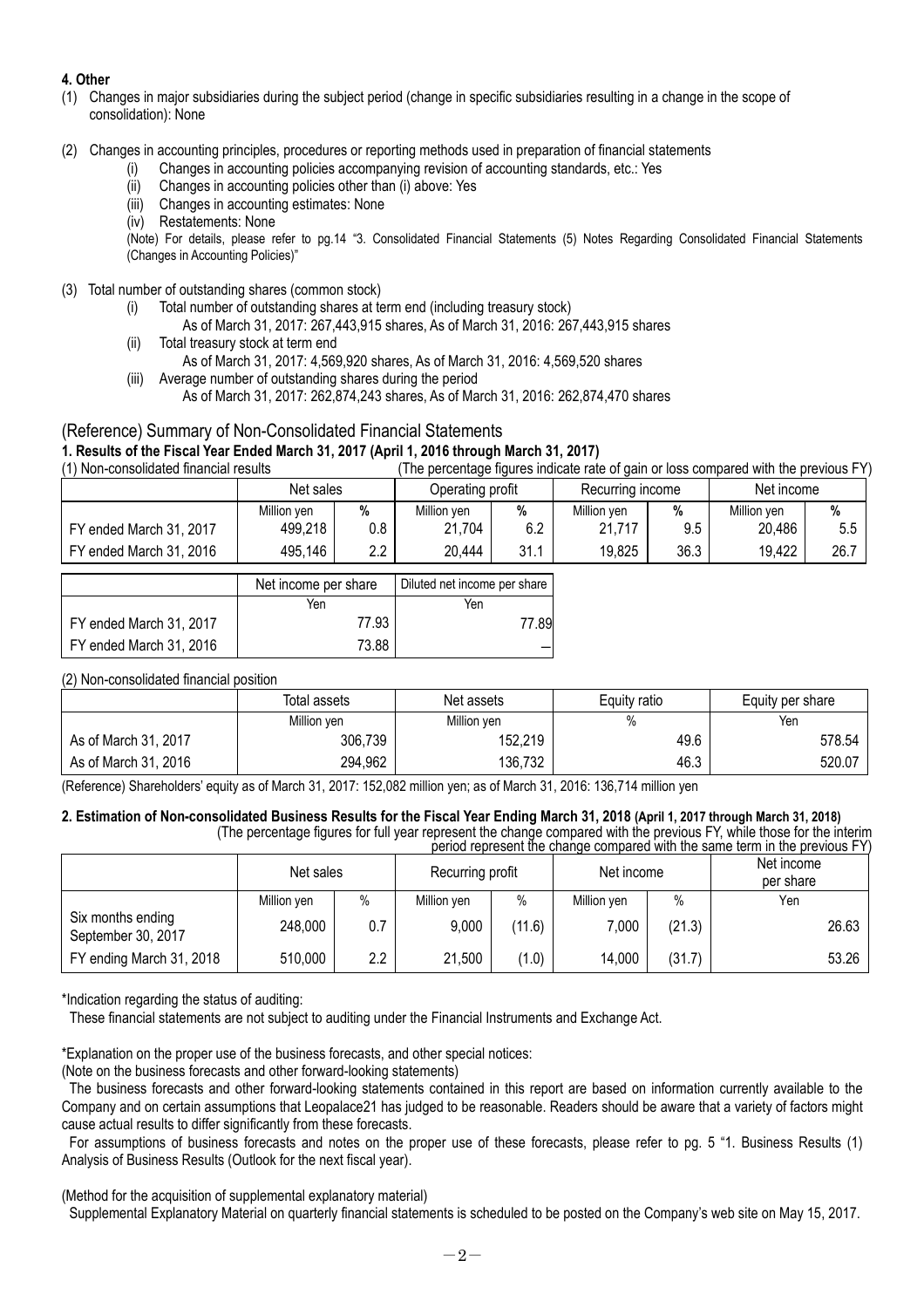# **4. Other**

- (1) Changes in major subsidiaries during the subject period (change in specific subsidiaries resulting in a change in the scope of consolidation): None
- (2) Changes in accounting principles, procedures or reporting methods used in preparation of financial statements
	- (i) Changes in accounting policies accompanying revision of accounting standards, etc.: Yes
	- (ii) Changes in accounting policies other than (i) above: Yes
	- (iii) Changes in accounting estimates: None
	- (iv) Restatements: None

(Note) For details, please refer to pg.14 "3. Consolidated Financial Statements (5) Notes Regarding Consolidated Financial Statements (Changes in Accounting Policies)"

- (3) Total number of outstanding shares (common stock)
	- (i) Total number of outstanding shares at term end (including treasury stock)
		- As of March 31, 2017: 267,443,915 shares, As of March 31, 2016: 267,443,915 shares
	- (ii) Total treasury stock at term end As of March 31, 2017: 4,569,920 shares, As of March 31, 2016: 4,569,520 shares
	- (iii) Average number of outstanding shares during the period As of March 31, 2017: 262,874,243 shares, As of March 31, 2016: 262,874,470 shares

# (Reference) Summary of Non-Consolidated Financial Statements

# **1. Results of the Fiscal Year Ended March 31, 2017 (April 1, 2016 through March 31, 2017)**

(The percentage figures indicate rate of gain or loss compared with the previous FY)

|                         | Net sales   |         | Operating profit |      | Recurring income |      | Net income  |      |
|-------------------------|-------------|---------|------------------|------|------------------|------|-------------|------|
|                         | Million ven | %       | Million ven      | %    | Million yen      | %    | Million ven | %    |
| FY ended March 31, 2017 | 499,218     | 0.8     | 21,704           | 6.2  | 21,717           | 9.5  | 20,486      | 5.5  |
| FY ended March 31, 2016 | 495,146     | $2.2\,$ | 20,444           | 31.1 | 19,825           | 36.3 | 19,422      | 26.7 |
|                         |             |         |                  |      |                  |      |             |      |

|                         | Net income per share | Diluted net income per share |
|-------------------------|----------------------|------------------------------|
|                         | Yen                  | Yen                          |
| FY ended March 31, 2017 | 77.93                | 77.89                        |
| FY ended March 31, 2016 | 73.88                |                              |

(2) Non-consolidated financial position

|                      | Total assets | Net assets  | Equity ratio | Equity per share |  |
|----------------------|--------------|-------------|--------------|------------------|--|
|                      | Million yen  | Million yen | $\%$         | Yen              |  |
| As of March 31, 2017 | 306,739      | 152,219     | 49.6         | 578.54           |  |
| As of March 31, 2016 | 294,962      | 136,732     | 46.3         | 520.07           |  |

(Reference) Shareholders' equity as of March 31, 2017: 152,082 million yen; as of March 31, 2016: 136,714 million yen

### **2. Estimation of Non-consolidated Business Results for the Fiscal Year Ending March 31, 2018 (April 1, 2017 through March 31, 2018)** (The percentage figures for full year represent the change compared with the previous FY, while those for the interim

|                                         |             |      |                  |        |             |        | period represent the change compared with the same term in the previous FY) |
|-----------------------------------------|-------------|------|------------------|--------|-------------|--------|-----------------------------------------------------------------------------|
|                                         | Net sales   |      | Recurring profit |        | Net income  |        | Net income<br>per share                                                     |
|                                         | Million ven | $\%$ | Million yen      | %      | Million yen | $\%$   | Yen                                                                         |
| Six months ending<br>September 30, 2017 | 248,000     | 0.7  | 9,000            | (11.6) | 7,000       | (21.3) | 26.63                                                                       |
| FY ending March 31, 2018                | 510,000     | 2.2  | 21,500           | (1.0)  | 14,000      | (31.7) | 53.26                                                                       |

\*Indication regarding the status of auditing:

These financial statements are not subject to auditing under the Financial Instruments and Exchange Act.

\*Explanation on the proper use of the business forecasts, and other special notices:

(Note on the business forecasts and other forward-looking statements)

The business forecasts and other forward-looking statements contained in this report are based on information currently available to the Company and on certain assumptions that Leopalace21 has judged to be reasonable. Readers should be aware that a variety of factors might cause actual results to differ significantly from these forecasts.

For assumptions of business forecasts and notes on the proper use of these forecasts, please refer to pg. 5 "1. Business Results (1) Analysis of Business Results (Outlook for the next fiscal year).

(Method for the acquisition of supplemental explanatory material)

Supplemental Explanatory Material on quarterly financial statements is scheduled to be posted on the Company's web site on May 15, 2017.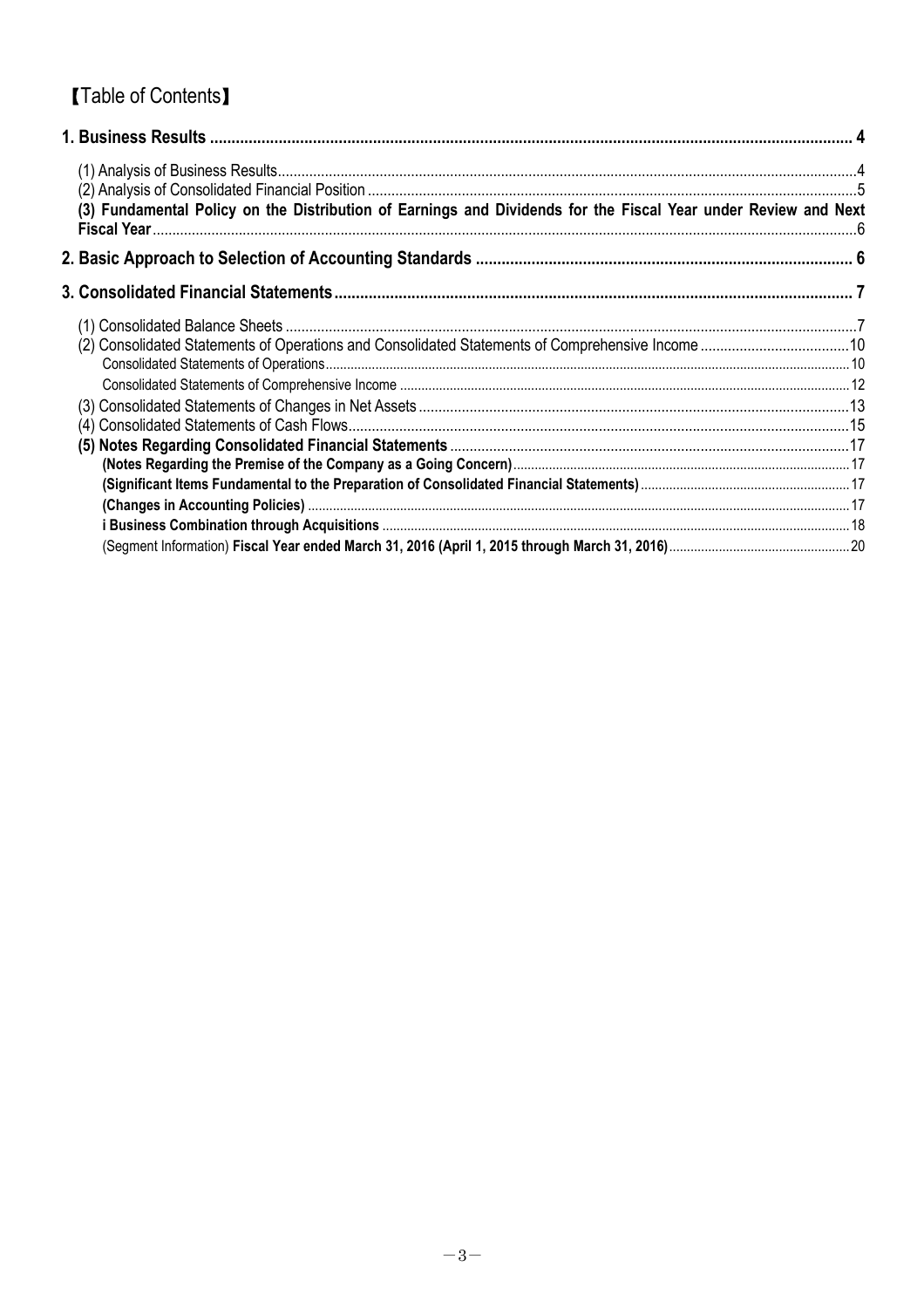# **[Table of Contents]**

| (3) Fundamental Policy on the Distribution of Earnings and Dividends for the Fiscal Year under Review and Next |  |
|----------------------------------------------------------------------------------------------------------------|--|
|                                                                                                                |  |
|                                                                                                                |  |
|                                                                                                                |  |
|                                                                                                                |  |
|                                                                                                                |  |
|                                                                                                                |  |
|                                                                                                                |  |
|                                                                                                                |  |
|                                                                                                                |  |
|                                                                                                                |  |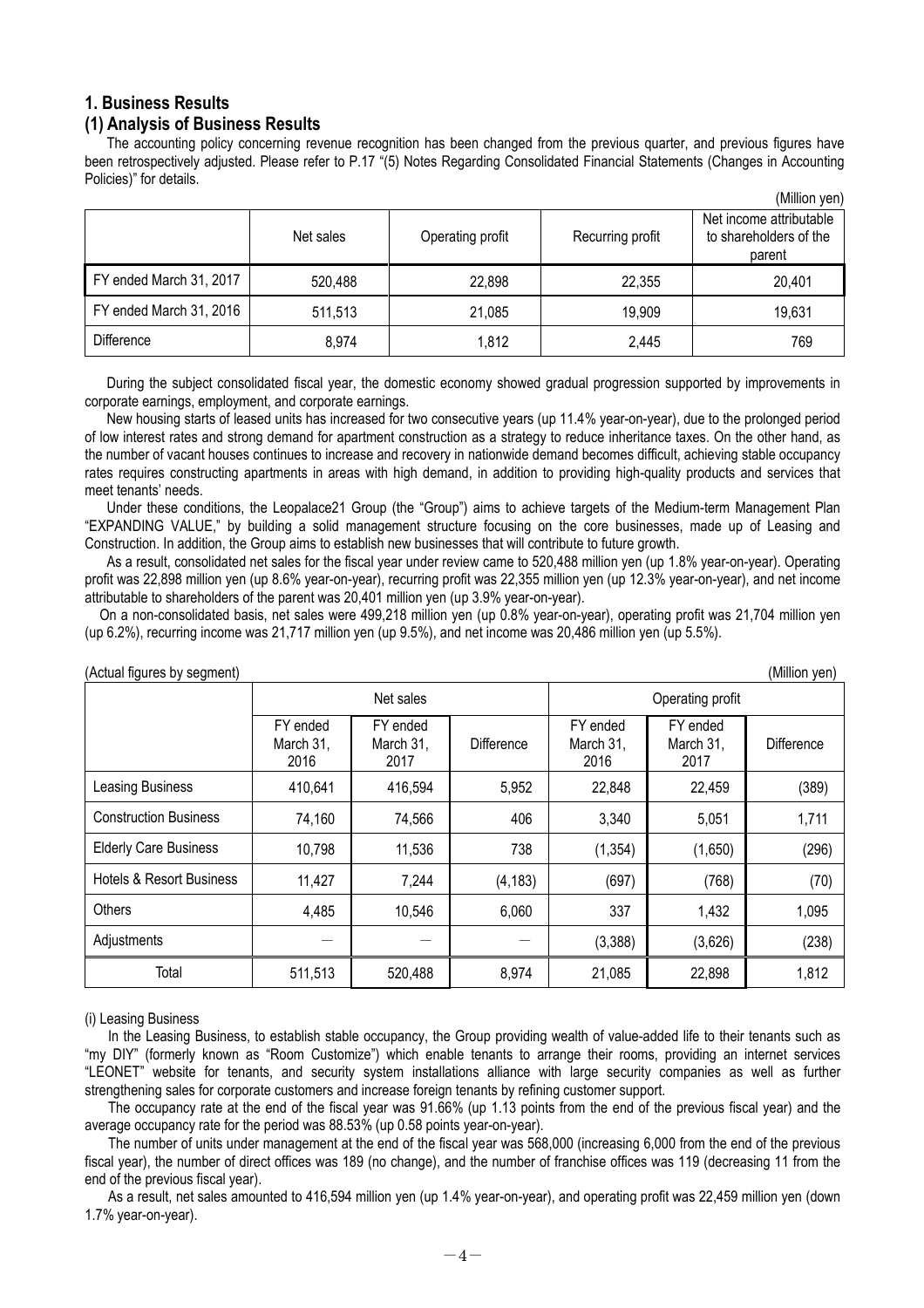# **1. Business Results**

## **(1) Analysis of Business Results**

The accounting policy concerning revenue recognition has been changed from the previous quarter, and previous figures have been retrospectively adjusted. Please refer to P.17 "(5) Notes Regarding Consolidated Financial Statements (Changes in Accounting Policies)" for details.  $(0.00)$ 

|                         |           |                  |                  | (Million yen)                                               |
|-------------------------|-----------|------------------|------------------|-------------------------------------------------------------|
|                         | Net sales | Operating profit | Recurring profit | Net income attributable<br>to shareholders of the<br>parent |
| FY ended March 31, 2017 | 520,488   | 22,898           | 22,355           | 20,401                                                      |
| FY ended March 31, 2016 | 511,513   | 21,085           | 19,909           | 19,631                                                      |
| Difference              | 8,974     | 1,812            | 2,445            | 769                                                         |

During the subject consolidated fiscal year, the domestic economy showed gradual progression supported by improvements in corporate earnings, employment, and corporate earnings.

New housing starts of leased units has increased for two consecutive years (up 11.4% year-on-year), due to the prolonged period of low interest rates and strong demand for apartment construction as a strategy to reduce inheritance taxes. On the other hand, as the number of vacant houses continues to increase and recovery in nationwide demand becomes difficult, achieving stable occupancy rates requires constructing apartments in areas with high demand, in addition to providing high-quality products and services that meet tenants' needs.

Under these conditions, the Leopalace21 Group (the "Group") aims to achieve targets of the Medium-term Management Plan "EXPANDING VALUE," by building a solid management structure focusing on the core businesses, made up of Leasing and Construction. In addition, the Group aims to establish new businesses that will contribute to future growth.

As a result, consolidated net sales for the fiscal year under review came to 520,488 million yen (up 1.8% year-on-year). Operating profit was 22,898 million yen (up 8.6% year-on-year), recurring profit was 22,355 million yen (up 12.3% year-on-year), and net income attributable to shareholders of the parent was 20,401 million yen (up 3.9% year-on-year).

On a non-consolidated basis, net sales were 499,218 million yen (up 0.8% year-on-year), operating profit was 21,704 million yen (up 6.2%), recurring income was 21,717 million yen (up 9.5%), and net income was 20,486 million yen (up 5.5%).

| (Actual figures by segment)         |                               |                               |            |                               |                               | (Million yen) |  |
|-------------------------------------|-------------------------------|-------------------------------|------------|-------------------------------|-------------------------------|---------------|--|
|                                     | Net sales                     |                               |            | Operating profit              |                               |               |  |
|                                     | FY ended<br>March 31,<br>2016 | FY ended<br>March 31.<br>2017 | Difference | FY ended<br>March 31,<br>2016 | FY ended<br>March 31,<br>2017 | Difference    |  |
| Leasing Business                    | 410,641                       | 416,594                       | 5,952      | 22,848                        | 22,459                        | (389)         |  |
| <b>Construction Business</b>        | 74,160                        | 74,566                        | 406        | 3,340                         | 5,051                         | 1,711         |  |
| <b>Elderly Care Business</b>        | 10,798                        | 11,536                        | 738        | (1, 354)                      | (1,650)                       | (296)         |  |
| <b>Hotels &amp; Resort Business</b> | 11,427                        | 7,244                         | (4, 183)   | (697)                         | (768)                         | (70)          |  |
| <b>Others</b>                       | 4,485                         | 10,546                        | 6,060      | 337                           | 1,432                         | 1,095         |  |
| Adjustments                         |                               |                               |            | (3,388)                       | (3,626)                       | (238)         |  |
| Total                               | 511,513                       | 520,488                       | 8,974      | 21,085                        | 22,898                        | 1,812         |  |

#### (i) Leasing Business

In the Leasing Business, to establish stable occupancy, the Group providing wealth of value-added life to their tenants such as "my DIY" (formerly known as "Room Customize") which enable tenants to arrange their rooms, providing an internet services "LEONET" website for tenants, and security system installations alliance with large security companies as well as further strengthening sales for corporate customers and increase foreign tenants by refining customer support.

The occupancy rate at the end of the fiscal year was 91.66% (up 1.13 points from the end of the previous fiscal year) and the average occupancy rate for the period was 88.53% (up 0.58 points year-on-year).

The number of units under management at the end of the fiscal year was 568,000 (increasing 6,000 from the end of the previous fiscal year), the number of direct offices was 189 (no change), and the number of franchise offices was 119 (decreasing 11 from the end of the previous fiscal year).

As a result, net sales amounted to 416,594 million yen (up 1.4% year-on-year), and operating profit was 22,459 million yen (down 1.7% year-on-year).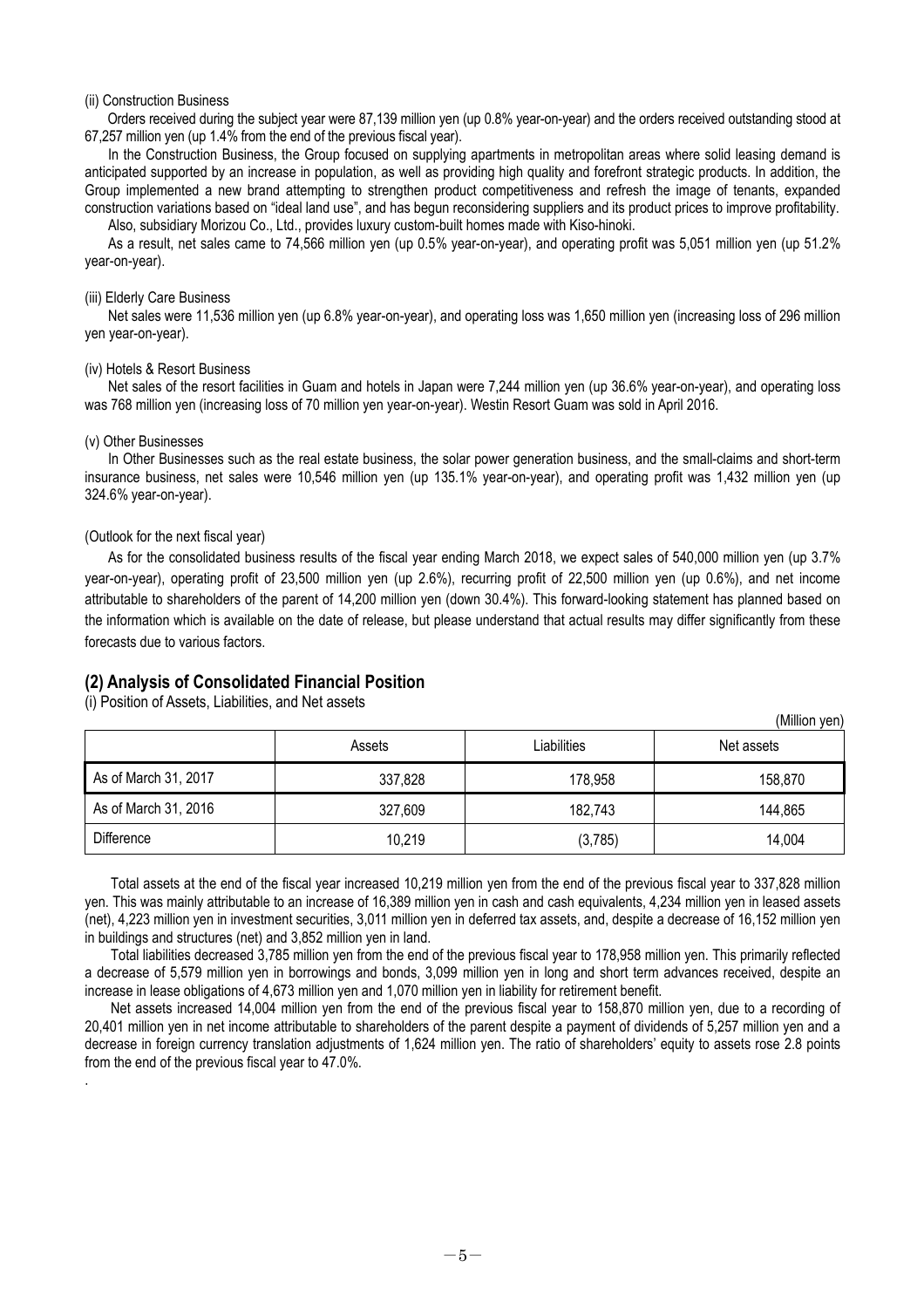### (ii) Construction Business

Orders received during the subject year were 87,139 million yen (up 0.8% year-on-year) and the orders received outstanding stood at 67,257 million yen (up 1.4% from the end of the previous fiscal year).

In the Construction Business, the Group focused on supplying apartments in metropolitan areas where solid leasing demand is anticipated supported by an increase in population, as well as providing high quality and forefront strategic products. In addition, the Group implemented a new brand attempting to strengthen product competitiveness and refresh the image of tenants, expanded construction variations based on "ideal land use", and has begun reconsidering suppliers and its product prices to improve profitability. Also, subsidiary Morizou Co., Ltd., provides luxury custom-built homes made with Kiso-hinoki.

As a result, net sales came to 74,566 million yen (up 0.5% year-on-year), and operating profit was 5,051 million yen (up 51.2% year-on-year).

#### (iii) Elderly Care Business

Net sales were 11,536 million yen (up 6.8% year-on-year), and operating loss was 1,650 million yen (increasing loss of 296 million yen year-on-year).

### (iv) Hotels & Resort Business

Net sales of the resort facilities in Guam and hotels in Japan were 7,244 million yen (up 36.6% year-on-year), and operating loss was 768 million yen (increasing loss of 70 million yen year-on-year). Westin Resort Guam was sold in April 2016.

#### (v) Other Businesses

.

In Other Businesses such as the real estate business, the solar power generation business, and the small-claims and short-term insurance business, net sales were 10,546 million yen (up 135.1% year-on-year), and operating profit was 1,432 million yen (up 324.6% year-on-year).

### (Outlook for the next fiscal year)

As for the consolidated business results of the fiscal year ending March 2018, we expect sales of 540,000 million yen (up 3.7% year-on-year), operating profit of 23,500 million yen (up 2.6%), recurring profit of 22,500 million yen (up 0.6%), and net income attributable to shareholders of the parent of 14,200 million yen (down 30.4%). This forward-looking statement has planned based on the information which is available on the date of release, but please understand that actual results may differ significantly from these forecasts due to various factors.

### **(2) Analysis of Consolidated Financial Position**

(i) Position of Assets, Liabilities, and Net assets

|                      |         |             | (Million yen) |
|----------------------|---------|-------------|---------------|
|                      | Assets  | Liabilities | Net assets    |
| As of March 31, 2017 | 337,828 | 178,958     | 158,870       |
| As of March 31, 2016 | 327,609 | 182,743     | 144,865       |
| Difference           | 10,219  | (3,785)     | 14,004        |

Total assets at the end of the fiscal year increased 10,219 million yen from the end of the previous fiscal year to 337,828 million yen. This was mainly attributable to an increase of 16,389 million yen in cash and cash equivalents, 4,234 million yen in leased assets (net), 4,223 million yen in investment securities, 3,011 million yen in deferred tax assets, and, despite a decrease of 16,152 million yen in buildings and structures (net) and 3,852 million yen in land.

Total liabilities decreased 3,785 million yen from the end of the previous fiscal year to 178,958 million yen. This primarily reflected a decrease of 5,579 million yen in borrowings and bonds, 3,099 million yen in long and short term advances received, despite an increase in lease obligations of 4,673 million yen and 1,070 million yen in liability for retirement benefit.

Net assets increased 14,004 million yen from the end of the previous fiscal year to 158,870 million yen, due to a recording of 20,401 million yen in net income attributable to shareholders of the parent despite a payment of dividends of 5,257 million yen and a decrease in foreign currency translation adjustments of 1,624 million yen. The ratio of shareholders' equity to assets rose 2.8 points from the end of the previous fiscal year to 47.0%.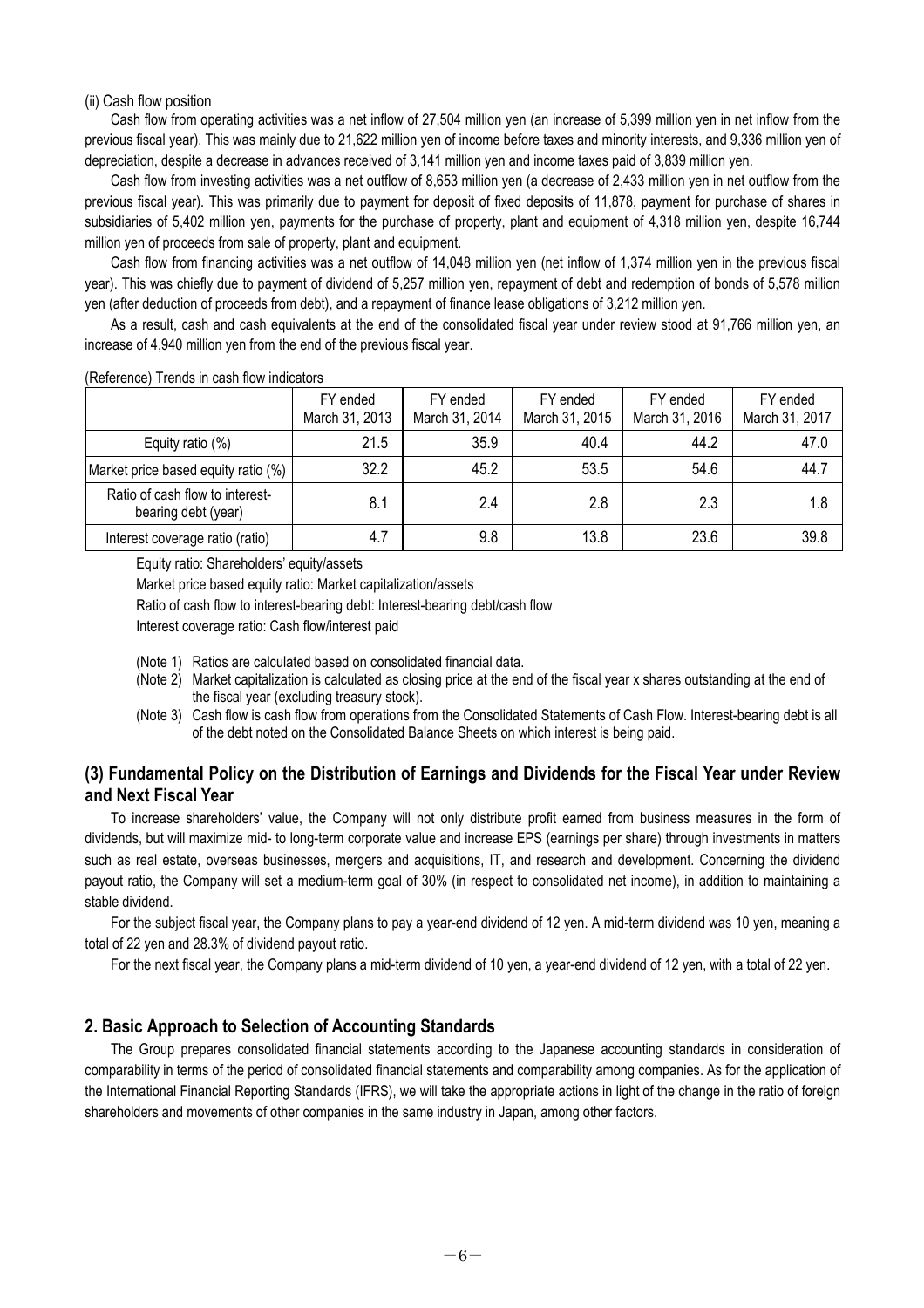### (ii) Cash flow position

Cash flow from operating activities was a net inflow of 27,504 million yen (an increase of 5,399 million yen in net inflow from the previous fiscal year). This was mainly due to 21,622 million yen of income before taxes and minority interests, and 9,336 million yen of depreciation, despite a decrease in advances received of 3,141 million yen and income taxes paid of 3,839 million yen.

Cash flow from investing activities was a net outflow of 8,653 million yen (a decrease of 2,433 million yen in net outflow from the previous fiscal year). This was primarily due to payment for deposit of fixed deposits of 11,878, payment for purchase of shares in subsidiaries of 5,402 million yen, payments for the purchase of property, plant and equipment of 4,318 million yen, despite 16,744 million yen of proceeds from sale of property, plant and equipment.

Cash flow from financing activities was a net outflow of 14,048 million yen (net inflow of 1,374 million yen in the previous fiscal year). This was chiefly due to payment of dividend of 5,257 million yen, repayment of debt and redemption of bonds of 5,578 million yen (after deduction of proceeds from debt), and a repayment of finance lease obligations of 3,212 million yen.

As a result, cash and cash equivalents at the end of the consolidated fiscal year under review stood at 91,766 million yen, an increase of 4,940 million yen from the end of the previous fiscal year.

|                                                        | FY ended<br>March 31, 2013 | FY ended<br>March 31, 2014 | FY ended<br>March 31, 2015 | FY ended<br>March 31, 2016 | FY ended<br>March 31, 2017 |
|--------------------------------------------------------|----------------------------|----------------------------|----------------------------|----------------------------|----------------------------|
| Equity ratio $(\%)$                                    | 21.5                       | 35.9                       | 40.4                       | 44.2                       | 47.0                       |
| Market price based equity ratio (%)                    | 32.2                       | 45.2                       | 53.5                       | 54.6                       | 44.7                       |
| Ratio of cash flow to interest-<br>bearing debt (year) | 8.1                        | 2.4                        | 2.8                        | 2.3                        | 1.8                        |
| Interest coverage ratio (ratio)                        | 4.7                        | 9.8                        | 13.8                       | 23.6                       | 39.8                       |

### (Reference) Trends in cash flow indicators

Equity ratio: Shareholders' equity/assets

Market price based equity ratio: Market capitalization/assets

Ratio of cash flow to interest-bearing debt: Interest-bearing debt/cash flow

Interest coverage ratio: Cash flow/interest paid

- (Note 1) Ratios are calculated based on consolidated financial data.
- (Note 2) Market capitalization is calculated as closing price at the end of the fiscal year x shares outstanding at the end of the fiscal year (excluding treasury stock).
- (Note 3) Cash flow is cash flow from operations from the Consolidated Statements of Cash Flow. Interest-bearing debt is all of the debt noted on the Consolidated Balance Sheets on which interest is being paid.

# **(3) Fundamental Policy on the Distribution of Earnings and Dividends for the Fiscal Year under Review and Next Fiscal Year**

To increase shareholders' value, the Company will not only distribute profit earned from business measures in the form of dividends, but will maximize mid- to long-term corporate value and increase EPS (earnings per share) through investments in matters such as real estate, overseas businesses, mergers and acquisitions, IT, and research and development. Concerning the dividend payout ratio, the Company will set a medium-term goal of 30% (in respect to consolidated net income), in addition to maintaining a stable dividend.

For the subject fiscal year, the Company plans to pay a year-end dividend of 12 yen. A mid-term dividend was 10 yen, meaning a total of 22 yen and 28.3% of dividend payout ratio.

For the next fiscal year, the Company plans a mid-term dividend of 10 yen, a year-end dividend of 12 yen, with a total of 22 yen.

### **2. Basic Approach to Selection of Accounting Standards**

The Group prepares consolidated financial statements according to the Japanese accounting standards in consideration of comparability in terms of the period of consolidated financial statements and comparability among companies. As for the application of the International Financial Reporting Standards (IFRS), we will take the appropriate actions in light of the change in the ratio of foreign shareholders and movements of other companies in the same industry in Japan, among other factors.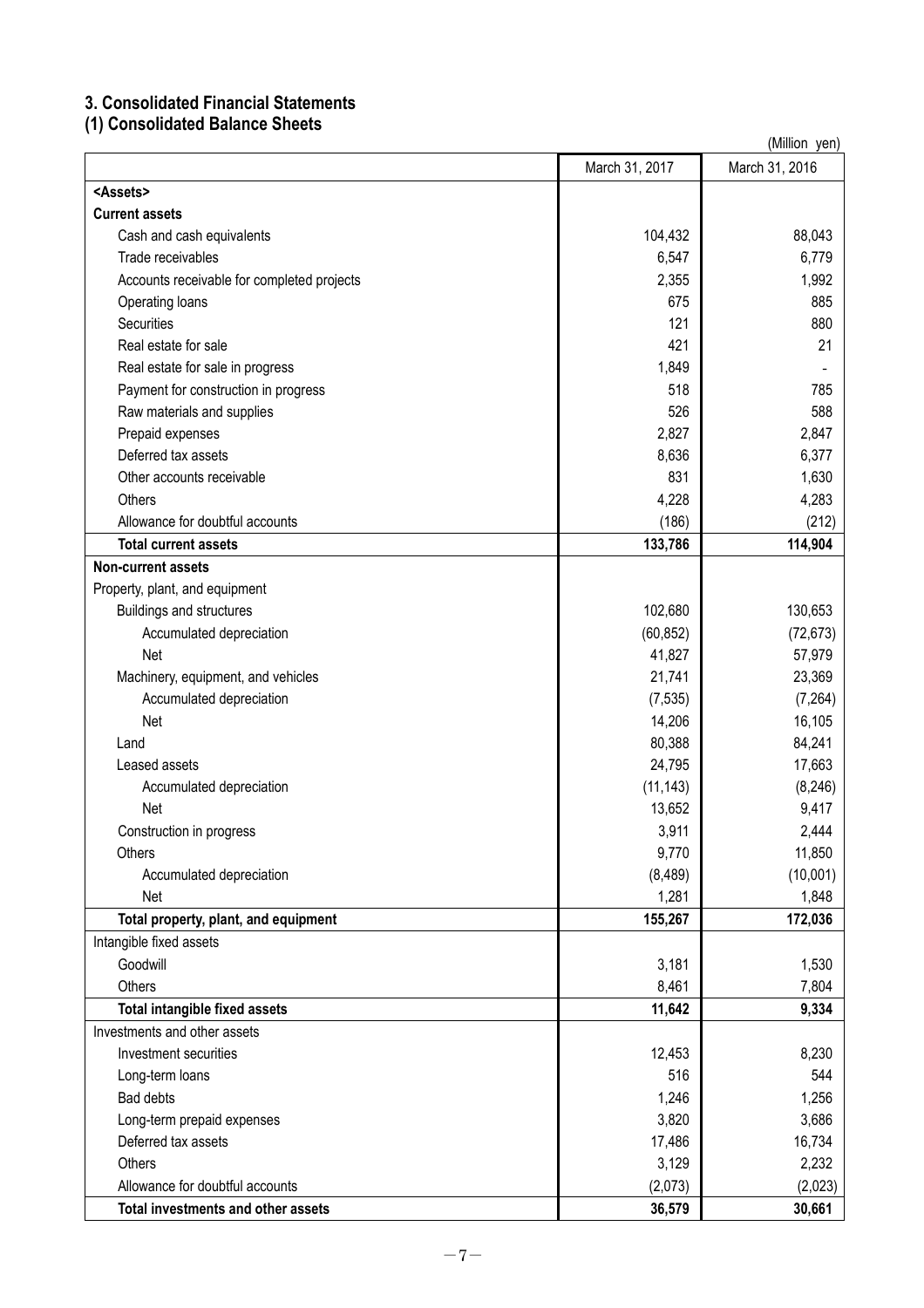# **3. Consolidated Financial Statements**

**(1) Consolidated Balance Sheets**

|                                            |                | (Million yen)  |
|--------------------------------------------|----------------|----------------|
|                                            | March 31, 2017 | March 31, 2016 |
| <assets></assets>                          |                |                |
| <b>Current assets</b>                      |                |                |
| Cash and cash equivalents                  | 104,432        | 88,043         |
| Trade receivables                          | 6,547          | 6,779          |
| Accounts receivable for completed projects | 2,355          | 1,992          |
| Operating loans                            | 675            | 885            |
| Securities                                 | 121            | 880            |
| Real estate for sale                       | 421            | 21             |
| Real estate for sale in progress           | 1,849          |                |
| Payment for construction in progress       | 518            | 785            |
| Raw materials and supplies                 | 526            | 588            |
| Prepaid expenses                           | 2,827          | 2,847          |
| Deferred tax assets                        | 8,636          | 6,377          |
| Other accounts receivable                  | 831            | 1,630          |
| Others                                     | 4,228          | 4,283          |
| Allowance for doubtful accounts            | (186)          | (212)          |
| <b>Total current assets</b>                | 133,786        | 114,904        |
| <b>Non-current assets</b>                  |                |                |
| Property, plant, and equipment             |                |                |
| <b>Buildings and structures</b>            | 102,680        | 130,653        |
| Accumulated depreciation                   | (60, 852)      | (72, 673)      |
| Net                                        | 41,827         | 57,979         |
| Machinery, equipment, and vehicles         | 21,741         | 23,369         |
| Accumulated depreciation                   | (7, 535)       | (7, 264)       |
| Net                                        | 14,206         | 16,105         |
| Land                                       | 80,388         | 84,241         |
| Leased assets                              | 24,795         | 17,663         |
| Accumulated depreciation                   | (11, 143)      | (8, 246)       |
| Net                                        | 13,652         | 9,417          |
| Construction in progress                   | 3,911          | 2,444          |
| Others                                     | 9,770          | 11,850         |
| Accumulated depreciation                   | (8, 489)       | (10,001)       |
| Net                                        | 1,281          | 1,848          |
| Total property, plant, and equipment       | 155,267        | 172,036        |
| Intangible fixed assets                    |                |                |
| Goodwill                                   | 3,181          | 1,530          |
| Others                                     | 8,461          | 7,804          |
| <b>Total intangible fixed assets</b>       | 11,642         | 9,334          |
| Investments and other assets               |                |                |
| Investment securities                      | 12,453         | 8,230          |
| Long-term loans                            | 516            | 544            |
| Bad debts                                  | 1,246          | 1,256          |
| Long-term prepaid expenses                 | 3,820          | 3,686          |
| Deferred tax assets                        | 17,486         | 16,734         |
| Others                                     | 3,129          | 2,232          |
| Allowance for doubtful accounts            | (2,073)        | (2,023)        |
| Total investments and other assets         | 36,579         | 30,661         |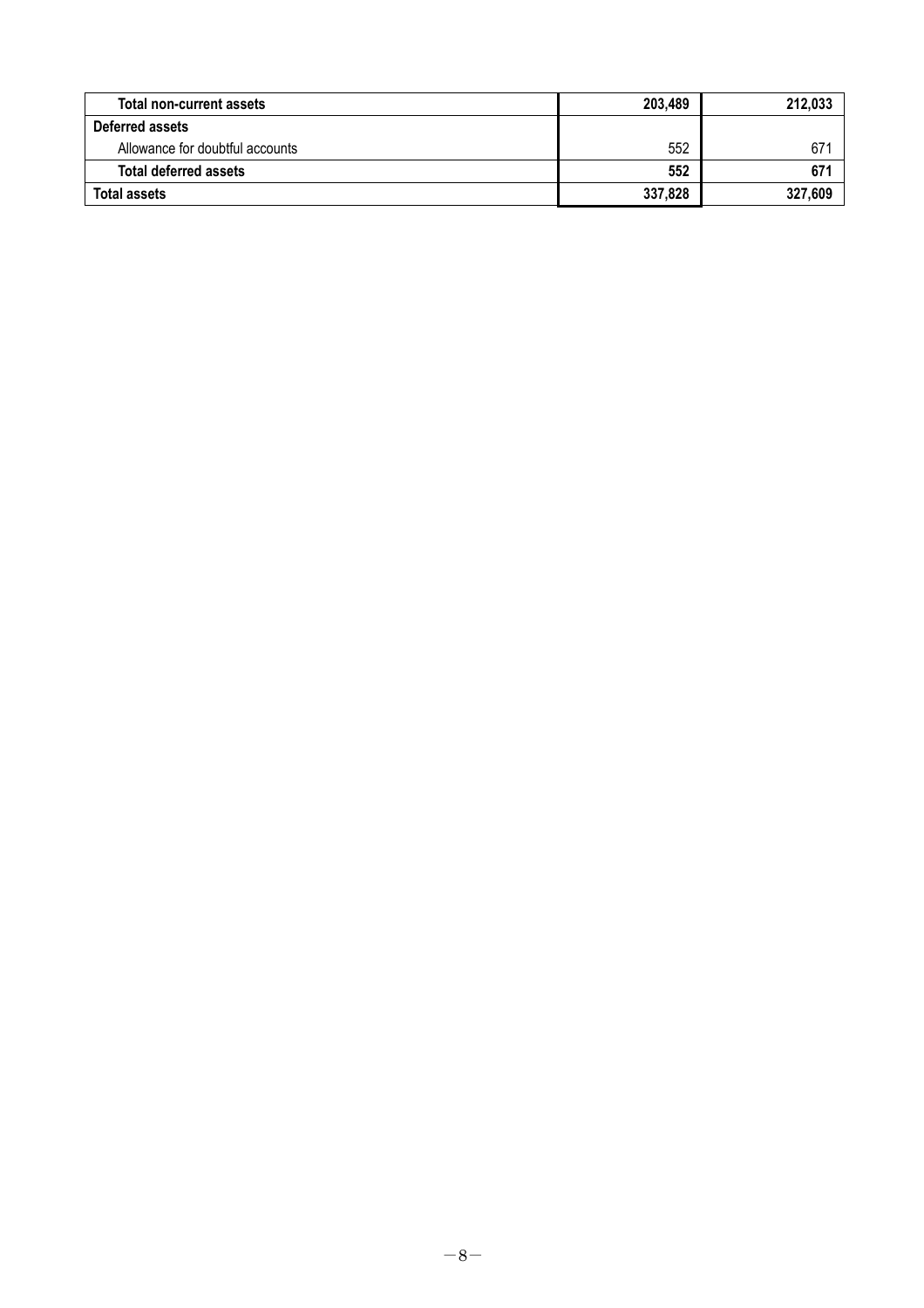| <b>Total non-current assets</b> | 203,489 | 212,033 |
|---------------------------------|---------|---------|
| Deferred assets                 |         |         |
| Allowance for doubtful accounts | 552     | 671     |
| <b>Total deferred assets</b>    | 552     | 671     |
| <b>Total assets</b>             | 337,828 | 327,609 |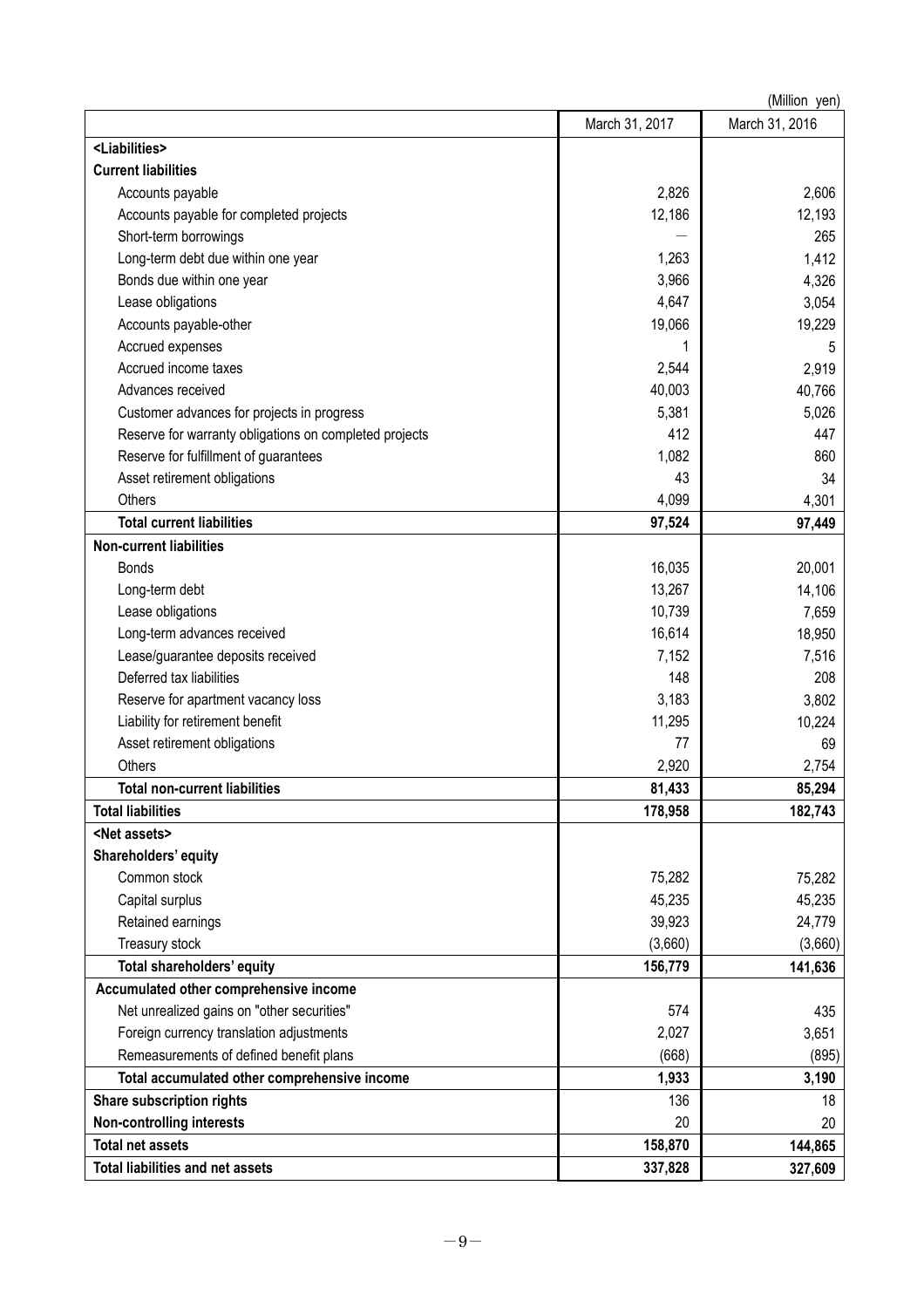|                                                        |                | (Million yen)  |
|--------------------------------------------------------|----------------|----------------|
|                                                        | March 31, 2017 | March 31, 2016 |
| <liabilities></liabilities>                            |                |                |
| <b>Current liabilities</b>                             |                |                |
| Accounts payable                                       | 2,826          | 2,606          |
| Accounts payable for completed projects                | 12,186         | 12,193         |
| Short-term borrowings                                  |                | 265            |
| Long-term debt due within one year                     | 1,263          | 1,412          |
| Bonds due within one year                              | 3,966          | 4,326          |
| Lease obligations                                      | 4,647          | 3,054          |
| Accounts payable-other                                 | 19,066         | 19,229         |
| Accrued expenses                                       |                | 5              |
| Accrued income taxes                                   | 2,544          | 2,919          |
| Advances received                                      | 40,003         | 40,766         |
| Customer advances for projects in progress             | 5,381          | 5,026          |
| Reserve for warranty obligations on completed projects | 412            | 447            |
| Reserve for fulfillment of guarantees                  | 1,082          | 860            |
| Asset retirement obligations                           | 43             | 34             |
| Others                                                 | 4,099          | 4,301          |
| <b>Total current liabilities</b>                       | 97,524         | 97,449         |
| <b>Non-current liabilities</b>                         |                |                |
| <b>Bonds</b>                                           | 16,035         | 20,001         |
| Long-term debt                                         | 13,267         | 14,106         |
| Lease obligations                                      | 10,739         | 7,659          |
| Long-term advances received                            | 16,614         | 18,950         |
| Lease/guarantee deposits received                      | 7,152          | 7,516          |
| Deferred tax liabilities                               | 148            | 208            |
| Reserve for apartment vacancy loss                     | 3,183          | 3,802          |
| Liability for retirement benefit                       | 11,295         | 10,224         |
| Asset retirement obligations                           | 77             | 69             |
| Others                                                 | 2,920          | 2,754          |
| Total non-current liabilities                          | 81,433         | 85,294         |
| <b>Total liabilities</b>                               | 178,958        | 182,743        |
| <net assets=""></net>                                  |                |                |
| Shareholders' equity                                   |                |                |
| Common stock                                           | 75,282         | 75,282         |
| Capital surplus                                        | 45,235         | 45,235         |
| Retained earnings                                      | 39,923         | 24,779         |
| Treasury stock                                         | (3,660)        | (3,660)        |
| Total shareholders' equity                             | 156,779        | 141,636        |
| Accumulated other comprehensive income                 |                |                |
| Net unrealized gains on "other securities"             | 574            | 435            |
| Foreign currency translation adjustments               | 2,027          | 3,651          |
| Remeasurements of defined benefit plans                | (668)          | (895)          |
| Total accumulated other comprehensive income           | 1,933          | 3,190          |
| Share subscription rights                              | 136            | 18             |
| <b>Non-controlling interests</b>                       | 20             | 20             |
| <b>Total net assets</b>                                | 158,870        | 144,865        |
| <b>Total liabilities and net assets</b>                | 337,828        | 327,609        |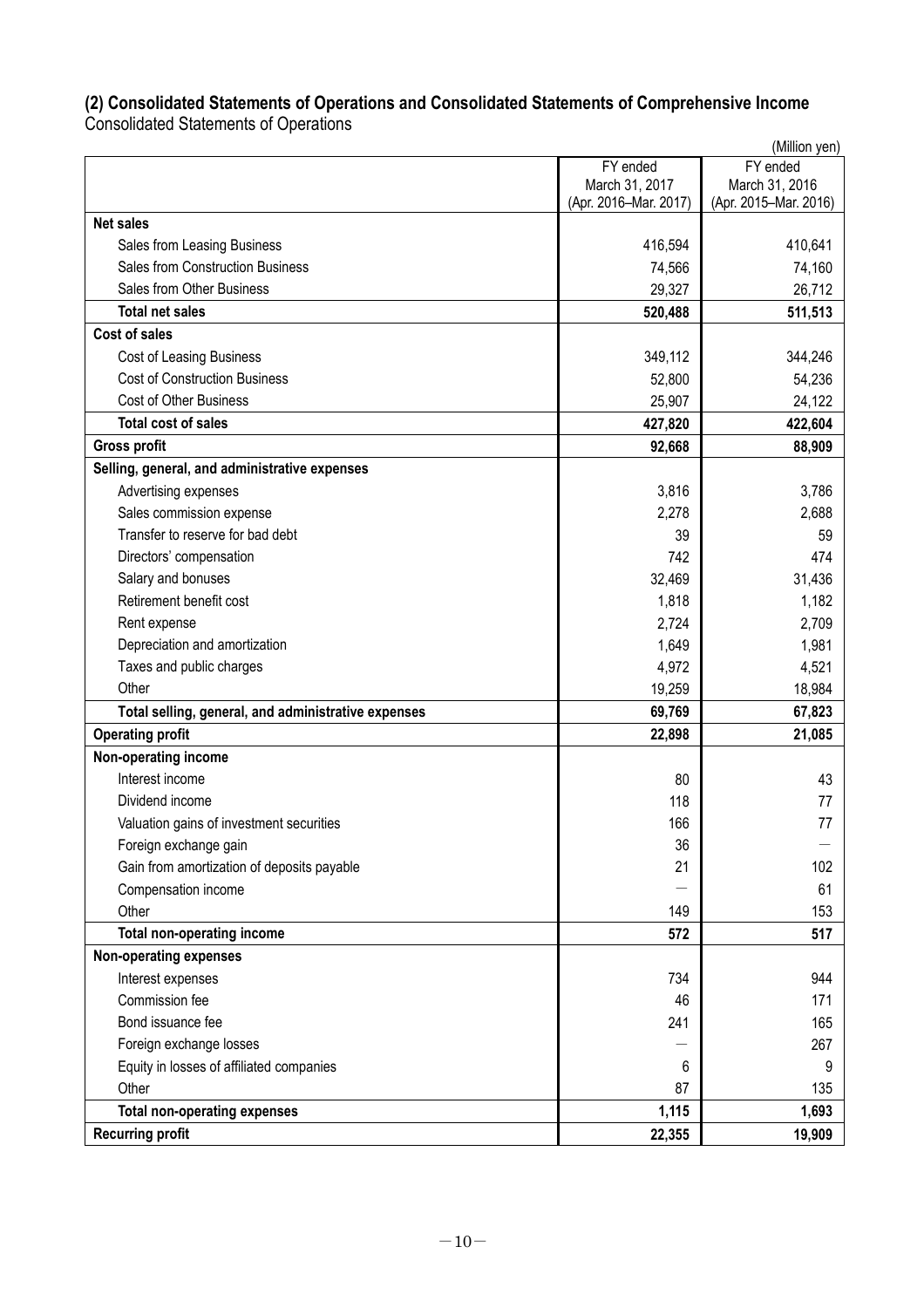# **(2) Consolidated Statements of Operations and Consolidated Statements of Comprehensive Income**

Consolidated Statements of Operations

| (Million yen)                                       |                                         |                                         |  |  |
|-----------------------------------------------------|-----------------------------------------|-----------------------------------------|--|--|
|                                                     | FY ended                                | FY ended                                |  |  |
|                                                     | March 31, 2017<br>(Apr. 2016-Mar. 2017) | March 31, 2016<br>(Apr. 2015-Mar. 2016) |  |  |
| <b>Net sales</b>                                    |                                         |                                         |  |  |
| Sales from Leasing Business                         | 416,594                                 | 410,641                                 |  |  |
| <b>Sales from Construction Business</b>             | 74,566                                  | 74,160                                  |  |  |
| Sales from Other Business                           | 29,327                                  | 26,712                                  |  |  |
| <b>Total net sales</b>                              | 520,488                                 | 511,513                                 |  |  |
| <b>Cost of sales</b>                                |                                         |                                         |  |  |
| <b>Cost of Leasing Business</b>                     | 349,112                                 | 344,246                                 |  |  |
| <b>Cost of Construction Business</b>                | 52,800                                  | 54,236                                  |  |  |
| <b>Cost of Other Business</b>                       | 25,907                                  | 24,122                                  |  |  |
| <b>Total cost of sales</b>                          | 427,820                                 | 422,604                                 |  |  |
| <b>Gross profit</b>                                 | 92,668                                  | 88,909                                  |  |  |
| Selling, general, and administrative expenses       |                                         |                                         |  |  |
| Advertising expenses                                | 3,816                                   | 3,786                                   |  |  |
| Sales commission expense                            | 2,278                                   | 2,688                                   |  |  |
| Transfer to reserve for bad debt                    | 39                                      | 59                                      |  |  |
| Directors' compensation                             | 742                                     | 474                                     |  |  |
| Salary and bonuses                                  | 32,469                                  | 31,436                                  |  |  |
| Retirement benefit cost                             | 1,818                                   | 1,182                                   |  |  |
| Rent expense                                        | 2,724                                   | 2,709                                   |  |  |
| Depreciation and amortization                       | 1,649                                   | 1,981                                   |  |  |
| Taxes and public charges                            | 4,972                                   | 4,521                                   |  |  |
| Other                                               | 19,259                                  | 18,984                                  |  |  |
| Total selling, general, and administrative expenses | 69,769                                  | 67,823                                  |  |  |
| <b>Operating profit</b>                             | 22,898                                  | 21,085                                  |  |  |
| Non-operating income                                |                                         |                                         |  |  |
| Interest income                                     | 80                                      | 43                                      |  |  |
| Dividend income                                     | 118                                     | 77                                      |  |  |
| Valuation gains of investment securities            | 166                                     | 77                                      |  |  |
| Foreign exchange gain                               | 36                                      |                                         |  |  |
| Gain from amortization of deposits payable          | 21                                      | 102                                     |  |  |
| Compensation income                                 |                                         | 61                                      |  |  |
| Other                                               | 149                                     | 153                                     |  |  |
| <b>Total non-operating income</b>                   | 572                                     | 517                                     |  |  |
| Non-operating expenses                              |                                         |                                         |  |  |
| Interest expenses                                   | 734                                     | 944                                     |  |  |
| Commission fee                                      | 46                                      | 171                                     |  |  |
| Bond issuance fee                                   | 241                                     | 165                                     |  |  |
| Foreign exchange losses                             |                                         | 267                                     |  |  |
| Equity in losses of affiliated companies            | 6                                       | 9                                       |  |  |
| Other                                               | 87                                      | 135                                     |  |  |
| <b>Total non-operating expenses</b>                 | 1,115                                   | 1,693                                   |  |  |
| <b>Recurring profit</b>                             | 22,355                                  | 19,909                                  |  |  |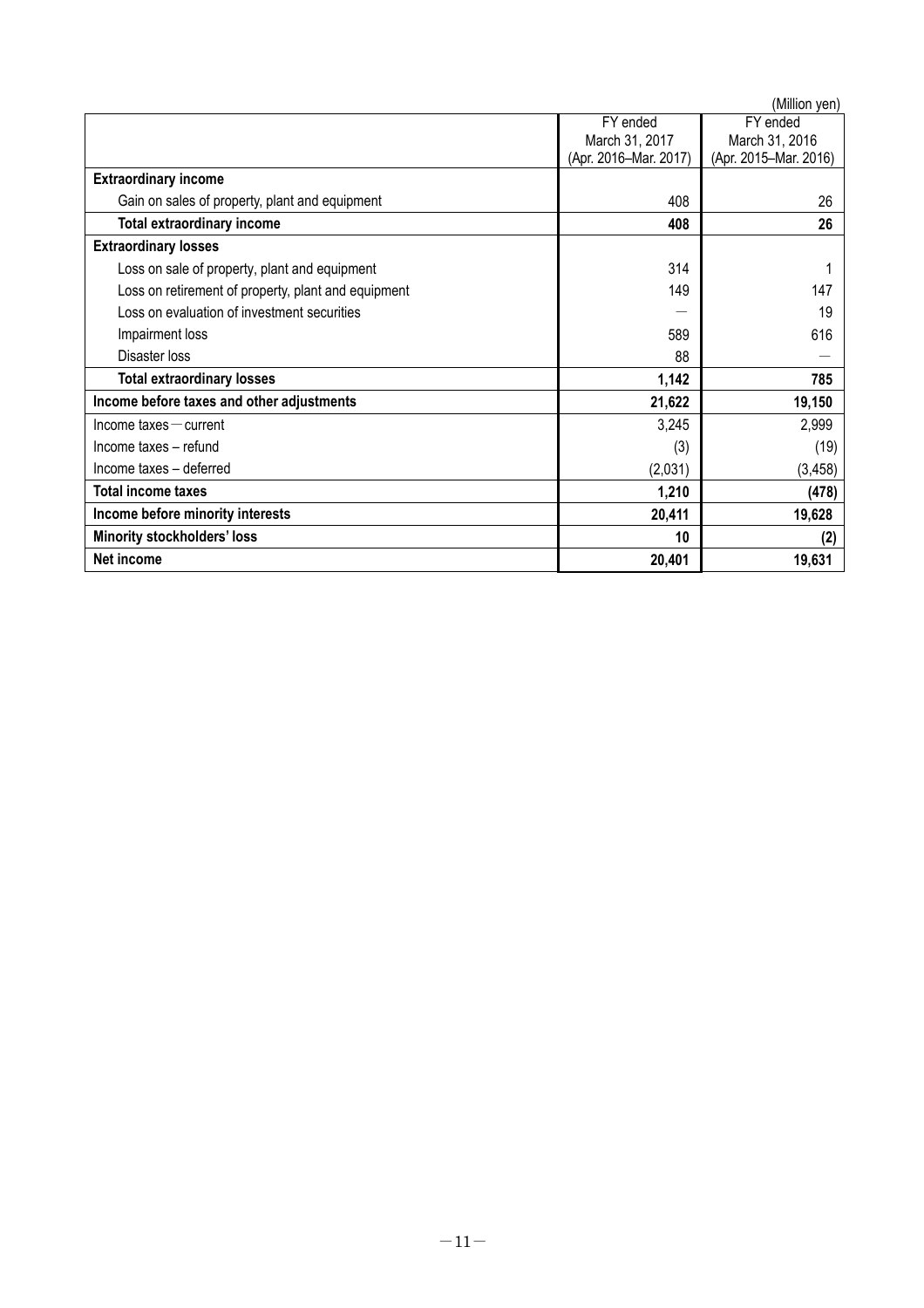| (Million yen)                                       |                       |                       |  |  |  |
|-----------------------------------------------------|-----------------------|-----------------------|--|--|--|
|                                                     | FY ended              | FY ended              |  |  |  |
|                                                     | March 31, 2017        | March 31, 2016        |  |  |  |
|                                                     | (Apr. 2016-Mar. 2017) | (Apr. 2015-Mar. 2016) |  |  |  |
| <b>Extraordinary income</b>                         |                       |                       |  |  |  |
| Gain on sales of property, plant and equipment      | 408                   | 26                    |  |  |  |
| <b>Total extraordinary income</b>                   | 408                   | 26                    |  |  |  |
| <b>Extraordinary losses</b>                         |                       |                       |  |  |  |
| Loss on sale of property, plant and equipment       | 314                   |                       |  |  |  |
| Loss on retirement of property, plant and equipment | 149                   | 147                   |  |  |  |
| Loss on evaluation of investment securities         |                       | 19                    |  |  |  |
| Impairment loss                                     | 589                   | 616                   |  |  |  |
| Disaster loss                                       | 88                    |                       |  |  |  |
| <b>Total extraordinary losses</b>                   | 1,142                 | 785                   |  |  |  |
| Income before taxes and other adjustments           | 21,622                | 19,150                |  |  |  |
| $lncome$ taxes $-$ current                          | 3,245                 | 2,999                 |  |  |  |
| Income taxes - refund                               | (3)                   | (19)                  |  |  |  |
| Income taxes - deferred                             | (2,031)               | (3, 458)              |  |  |  |
| <b>Total income taxes</b>                           | 1,210                 | (478)                 |  |  |  |
| Income before minority interests                    | 20,411                | 19,628                |  |  |  |
| <b>Minority stockholders' loss</b>                  | 10                    | (2)                   |  |  |  |
| Net income                                          | 20,401                | 19,631                |  |  |  |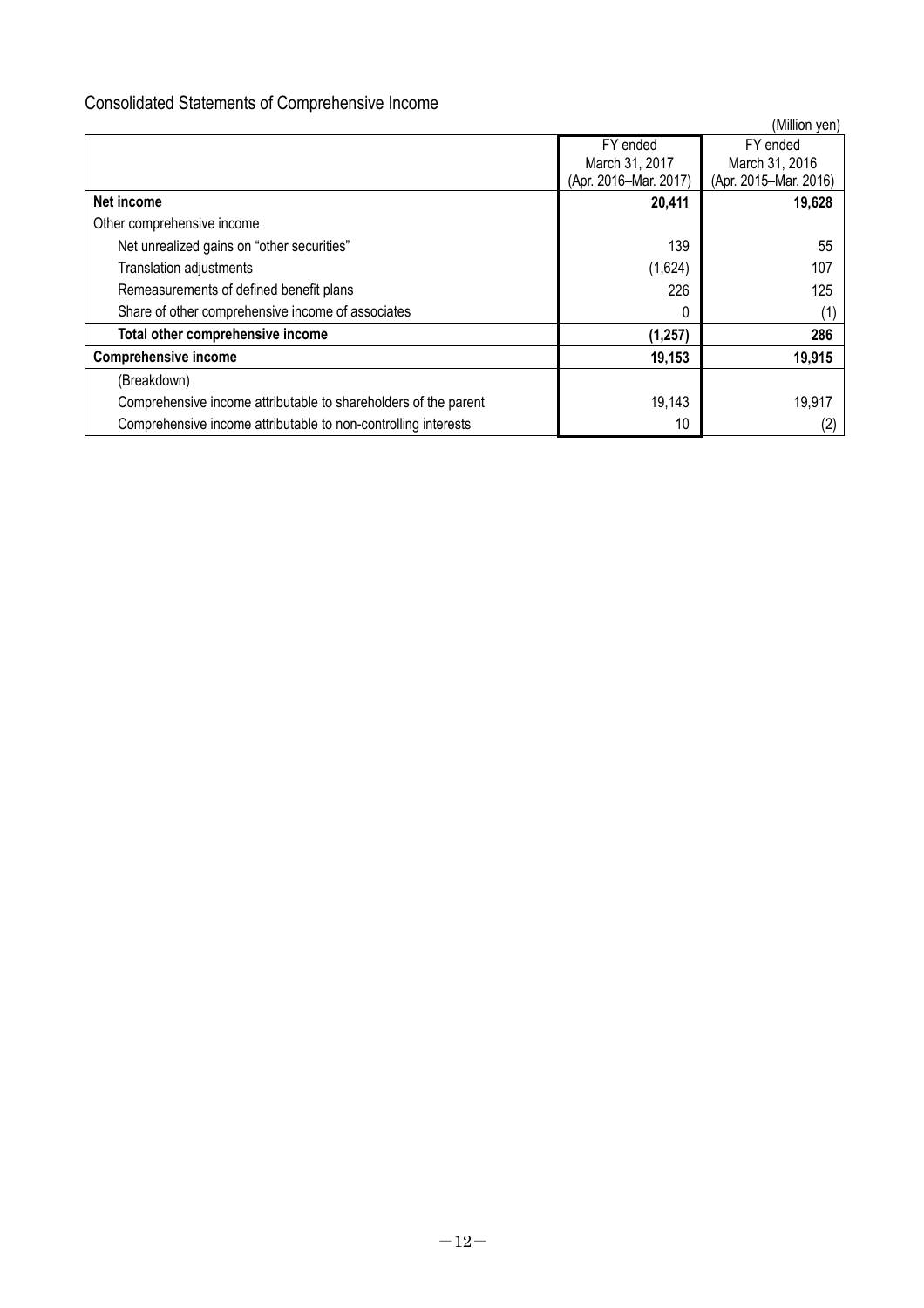# Consolidated Statements of Comprehensive Income

|                                                                 |                       | (Million yen)         |
|-----------------------------------------------------------------|-----------------------|-----------------------|
|                                                                 | FY ended              | FY ended              |
|                                                                 | March 31, 2017        | March 31, 2016        |
|                                                                 | (Apr. 2016-Mar. 2017) | (Apr. 2015-Mar. 2016) |
| Net income                                                      | 20,411                | 19,628                |
| Other comprehensive income                                      |                       |                       |
| Net unrealized gains on "other securities"                      | 139                   | 55                    |
| Translation adjustments                                         | (1,624)               | 107                   |
| Remeasurements of defined benefit plans                         | 226                   | 125                   |
| Share of other comprehensive income of associates               | 0                     | (1)                   |
| Total other comprehensive income                                | (1, 257)              | 286                   |
| <b>Comprehensive income</b>                                     | 19,153                | 19,915                |
| (Breakdown)                                                     |                       |                       |
| Comprehensive income attributable to shareholders of the parent | 19,143                | 19,917                |
| Comprehensive income attributable to non-controlling interests  | 10                    | (2)                   |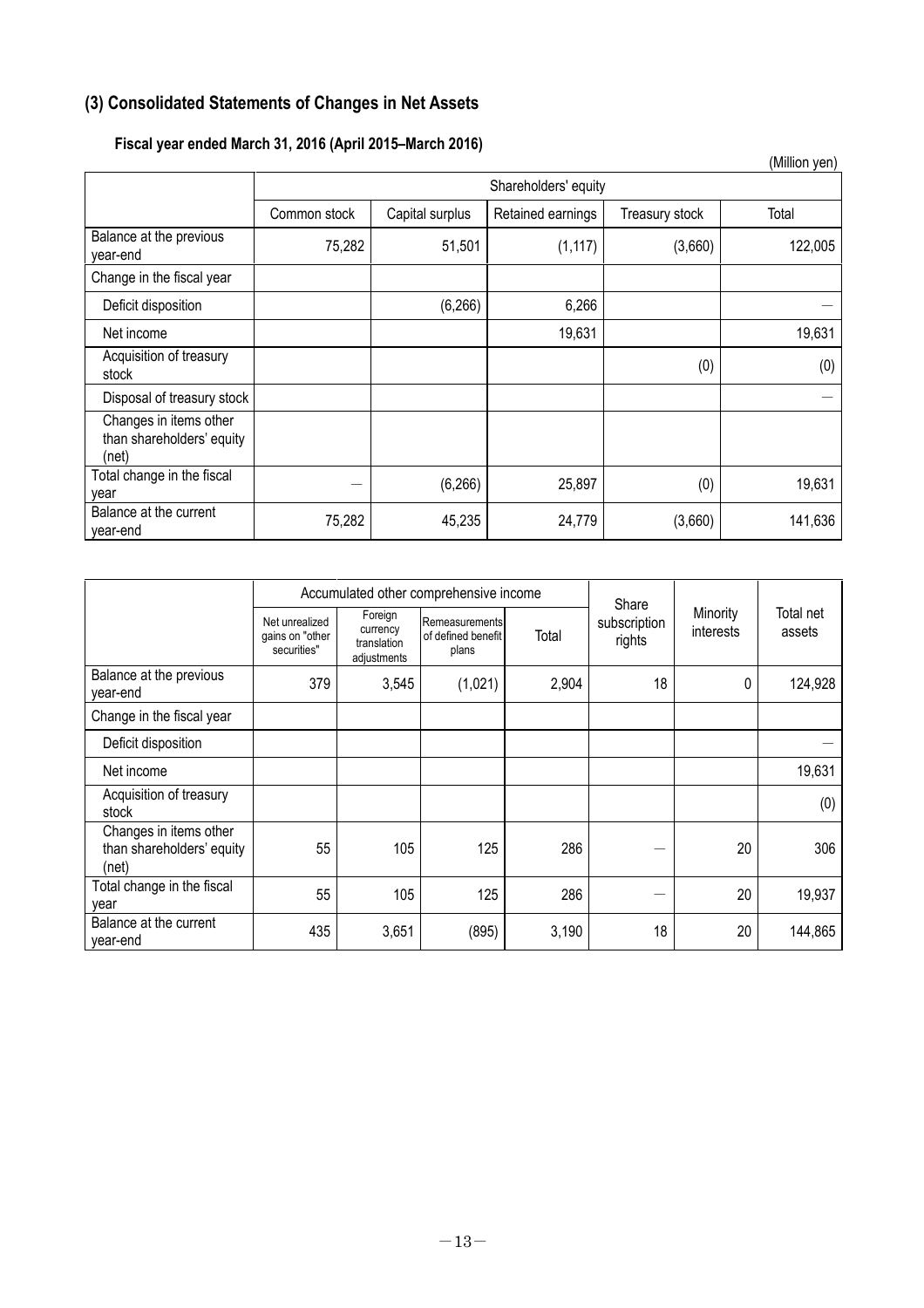# **(3) Consolidated Statements of Changes in Net Assets**

|                                                              |              |                      |                   |                | (Million yen) |  |  |  |
|--------------------------------------------------------------|--------------|----------------------|-------------------|----------------|---------------|--|--|--|
|                                                              |              | Shareholders' equity |                   |                |               |  |  |  |
|                                                              | Common stock | Capital surplus      | Retained earnings | Treasury stock | Total         |  |  |  |
| Balance at the previous<br>vear-end                          | 75,282       | 51,501               | (1, 117)          | (3,660)        | 122,005       |  |  |  |
| Change in the fiscal year                                    |              |                      |                   |                |               |  |  |  |
| Deficit disposition                                          |              | (6, 266)             | 6,266             |                |               |  |  |  |
| Net income                                                   |              |                      | 19,631            |                | 19,631        |  |  |  |
| Acquisition of treasury<br>stock                             |              |                      |                   | (0)            | (0)           |  |  |  |
| Disposal of treasury stock                                   |              |                      |                   |                |               |  |  |  |
| Changes in items other<br>than shareholders' equity<br>(net) |              |                      |                   |                |               |  |  |  |
| Total change in the fiscal<br>year                           | --           | (6, 266)             | 25,897            | (0)            | 19,631        |  |  |  |
| Balance at the current<br>year-end                           | 75,282       | 45,235               | 24,779            | (3,660)        | 141,636       |  |  |  |

# **Fiscal year ended March 31, 2016 (April 2015–March 2016)**

|                                                              |                                                  | Accumulated other comprehensive income            |                                               |       |                                 |                       |                     |
|--------------------------------------------------------------|--------------------------------------------------|---------------------------------------------------|-----------------------------------------------|-------|---------------------------------|-----------------------|---------------------|
|                                                              | Net unrealized<br>gains on "other<br>securities" | Foreign<br>currency<br>translation<br>adjustments | Remeasurements<br>of defined benefit<br>plans | Total | Share<br>subscription<br>rights | Minority<br>interests | Total net<br>assets |
| Balance at the previous<br>year-end                          | 379                                              | 3,545                                             | (1,021)                                       | 2,904 | 18                              | 0                     | 124,928             |
| Change in the fiscal year                                    |                                                  |                                                   |                                               |       |                                 |                       |                     |
| Deficit disposition                                          |                                                  |                                                   |                                               |       |                                 |                       |                     |
| Net income                                                   |                                                  |                                                   |                                               |       |                                 |                       | 19,631              |
| Acquisition of treasury<br>stock                             |                                                  |                                                   |                                               |       |                                 |                       | (0)                 |
| Changes in items other<br>than shareholders' equity<br>(net) | 55                                               | 105                                               | 125                                           | 286   |                                 | 20                    | 306                 |
| Total change in the fiscal<br>year                           | 55                                               | 105                                               | 125                                           | 286   |                                 | 20                    | 19,937              |
| Balance at the current<br>year-end                           | 435                                              | 3,651                                             | (895)                                         | 3,190 | 18                              | 20                    | 144,865             |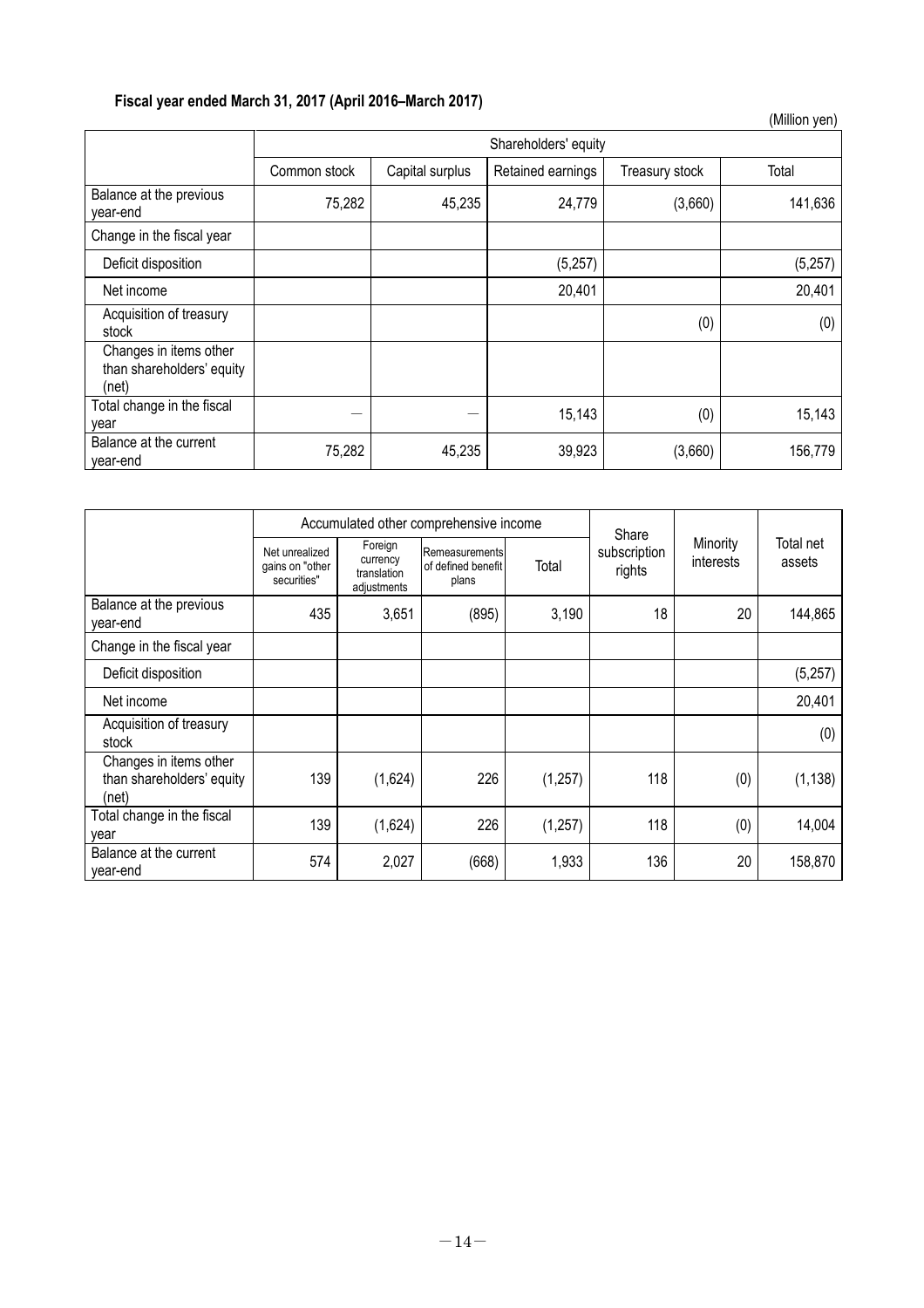# **Fiscal year ended March 31, 2017 (April 2016–March 2017)**

|                                                              |              |                      |                   |                | (Million yen) |  |  |
|--------------------------------------------------------------|--------------|----------------------|-------------------|----------------|---------------|--|--|
|                                                              |              | Shareholders' equity |                   |                |               |  |  |
|                                                              | Common stock | Capital surplus      | Retained earnings | Treasury stock | Total         |  |  |
| Balance at the previous<br>year-end                          | 75,282       | 45,235               | 24,779            | (3,660)        | 141,636       |  |  |
| Change in the fiscal year                                    |              |                      |                   |                |               |  |  |
| Deficit disposition                                          |              |                      | (5,257)           |                | (5,257)       |  |  |
| Net income                                                   |              |                      | 20,401            |                | 20,401        |  |  |
| Acquisition of treasury<br>stock                             |              |                      |                   | (0)            | (0)           |  |  |
| Changes in items other<br>than shareholders' equity<br>(net) |              |                      |                   |                |               |  |  |
| Total change in the fiscal<br>year                           |              |                      | 15,143            | (0)            | 15,143        |  |  |
| Balance at the current<br>year-end                           | 75,282       | 45,235               | 39,923            | (3,660)        | 156,779       |  |  |

|                                                              |                                                  |                                                   | Accumulated other comprehensive income        |          | Share                  |                       |                     |
|--------------------------------------------------------------|--------------------------------------------------|---------------------------------------------------|-----------------------------------------------|----------|------------------------|-----------------------|---------------------|
|                                                              | Net unrealized<br>gains on "other<br>securities" | Foreign<br>currency<br>translation<br>adjustments | Remeasurements<br>of defined benefit<br>plans | Total    | subscription<br>rights | Minority<br>interests | Total net<br>assets |
| Balance at the previous<br>year-end                          | 435                                              | 3,651                                             | (895)                                         | 3,190    | 18                     | 20                    | 144,865             |
| Change in the fiscal year                                    |                                                  |                                                   |                                               |          |                        |                       |                     |
| Deficit disposition                                          |                                                  |                                                   |                                               |          |                        |                       | (5,257)             |
| Net income                                                   |                                                  |                                                   |                                               |          |                        |                       | 20,401              |
| Acquisition of treasury<br>stock                             |                                                  |                                                   |                                               |          |                        |                       | (0)                 |
| Changes in items other<br>than shareholders' equity<br>(net) | 139                                              | (1,624)                                           | 226                                           | (1, 257) | 118                    | (0)                   | (1, 138)            |
| Total change in the fiscal<br>year                           | 139                                              | (1,624)                                           | 226                                           | (1,257)  | 118                    | (0)                   | 14,004              |
| Balance at the current<br>year-end                           | 574                                              | 2,027                                             | (668)                                         | 1,933    | 136                    | 20                    | 158,870             |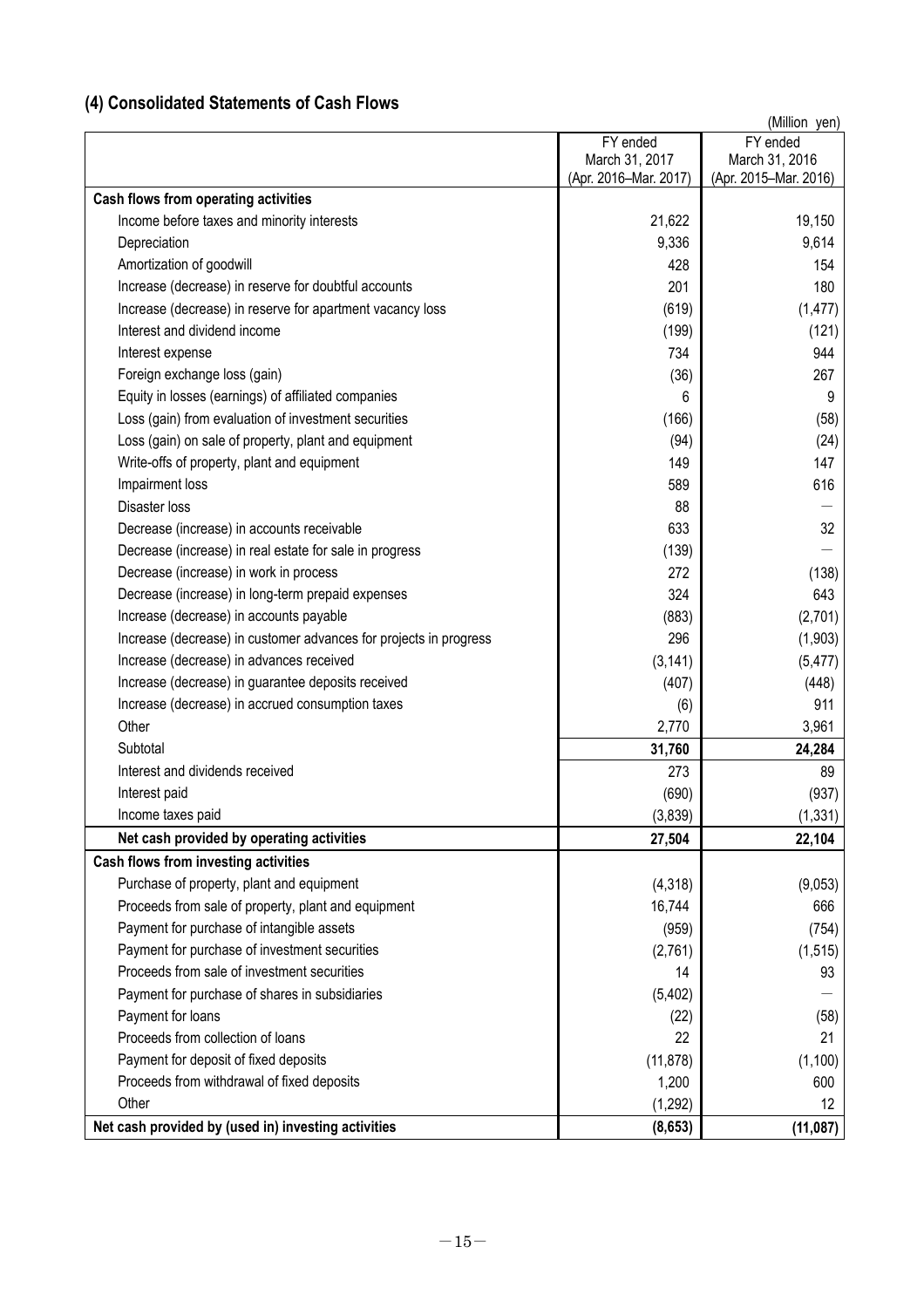# **(4) Consolidated Statements of Cash Flows**

|                                                                   |                       | (Million yen)         |
|-------------------------------------------------------------------|-----------------------|-----------------------|
|                                                                   | FY ended              | FY ended              |
|                                                                   | March 31, 2017        | March 31, 2016        |
| Cash flows from operating activities                              | (Apr. 2016-Mar. 2017) | (Apr. 2015-Mar. 2016) |
| Income before taxes and minority interests                        | 21,622                | 19,150                |
| Depreciation                                                      | 9,336                 | 9,614                 |
| Amortization of goodwill                                          | 428                   | 154                   |
| Increase (decrease) in reserve for doubtful accounts              | 201                   | 180                   |
| Increase (decrease) in reserve for apartment vacancy loss         | (619)                 | (1, 477)              |
| Interest and dividend income                                      | (199)                 | (121)                 |
| Interest expense                                                  | 734                   | 944                   |
| Foreign exchange loss (gain)                                      |                       | 267                   |
|                                                                   | (36)                  |                       |
| Equity in losses (earnings) of affiliated companies               | 6                     | 9                     |
| Loss (gain) from evaluation of investment securities              | (166)                 | (58)                  |
| Loss (gain) on sale of property, plant and equipment              | (94)                  | (24)                  |
| Write-offs of property, plant and equipment                       | 149                   | 147                   |
| Impairment loss                                                   | 589                   | 616                   |
| Disaster loss                                                     | 88                    |                       |
| Decrease (increase) in accounts receivable                        | 633                   | 32                    |
| Decrease (increase) in real estate for sale in progress           | (139)                 |                       |
| Decrease (increase) in work in process                            | 272                   | (138)                 |
| Decrease (increase) in long-term prepaid expenses                 | 324                   | 643                   |
| Increase (decrease) in accounts payable                           | (883)                 | (2,701)               |
| Increase (decrease) in customer advances for projects in progress | 296                   | (1,903)               |
| Increase (decrease) in advances received                          | (3, 141)              | (5, 477)              |
| Increase (decrease) in guarantee deposits received                | (407)                 | (448)                 |
| Increase (decrease) in accrued consumption taxes                  | (6)                   | 911                   |
| Other                                                             | 2,770                 | 3,961                 |
| Subtotal                                                          | 31,760                | 24,284                |
| Interest and dividends received                                   | 273                   | 89                    |
| Interest paid                                                     | (690)                 | (937)                 |
| Income taxes paid                                                 | (3,839)               | (1, 331)              |
| Net cash provided by operating activities                         | 27,504                | 22,104                |
| Cash flows from investing activities                              |                       |                       |
| Purchase of property, plant and equipment                         | (4,318)               | (9,053)               |
| Proceeds from sale of property, plant and equipment               | 16,744                | 666                   |
| Payment for purchase of intangible assets                         | (959)                 | (754)                 |
| Payment for purchase of investment securities                     | (2,761)               | (1, 515)              |
| Proceeds from sale of investment securities                       | 14                    | 93                    |
| Payment for purchase of shares in subsidiaries                    | (5,402)               |                       |
| Payment for loans                                                 | (22)                  | (58)                  |
| Proceeds from collection of loans                                 | 22                    | 21                    |
| Payment for deposit of fixed deposits                             | (11, 878)             | (1, 100)              |
| Proceeds from withdrawal of fixed deposits                        | 1,200                 | 600                   |
| Other                                                             | (1, 292)              | 12                    |
| Net cash provided by (used in) investing activities               | (8,653)               | (11, 087)             |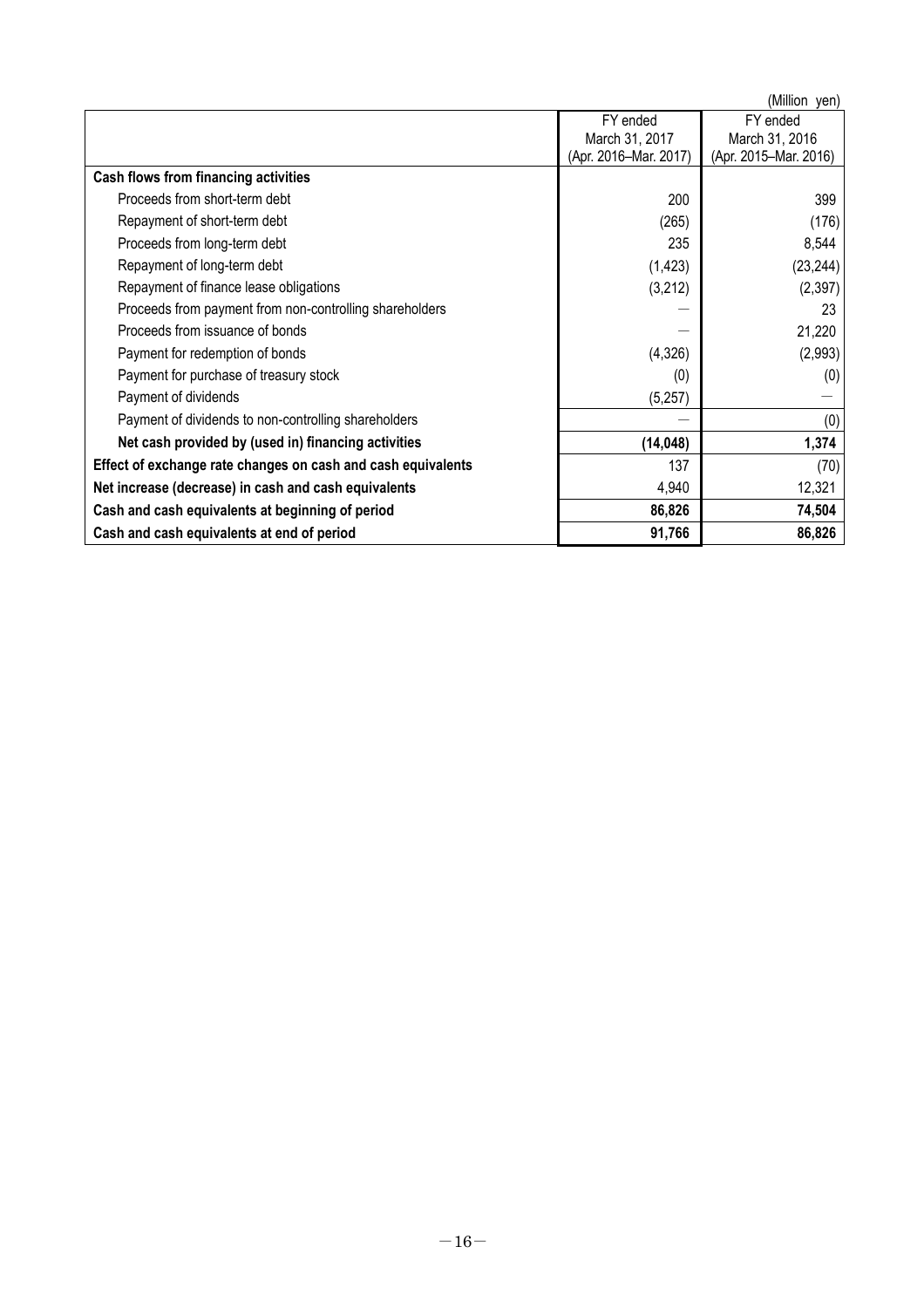|                                                              |                       | (Million yen)         |
|--------------------------------------------------------------|-----------------------|-----------------------|
|                                                              | FY ended              | FY ended              |
|                                                              | March 31, 2017        | March 31, 2016        |
|                                                              | (Apr. 2016-Mar. 2017) | (Apr. 2015-Mar. 2016) |
| Cash flows from financing activities                         |                       |                       |
| Proceeds from short-term debt                                | 200                   | 399                   |
| Repayment of short-term debt                                 | (265)                 | (176)                 |
| Proceeds from long-term debt                                 | 235                   | 8,544                 |
| Repayment of long-term debt                                  | (1, 423)              | (23, 244)             |
| Repayment of finance lease obligations                       | (3,212)               | (2, 397)              |
| Proceeds from payment from non-controlling shareholders      |                       | 23                    |
| Proceeds from issuance of bonds                              |                       | 21,220                |
| Payment for redemption of bonds                              | (4,326)               | (2,993)               |
| Payment for purchase of treasury stock                       | (0)                   | (0)                   |
| Payment of dividends                                         | (5, 257)              |                       |
| Payment of dividends to non-controlling shareholders         |                       | (0)                   |
| Net cash provided by (used in) financing activities          | (14, 048)             | 1,374                 |
| Effect of exchange rate changes on cash and cash equivalents | 137                   | (70)                  |
| Net increase (decrease) in cash and cash equivalents         | 4,940                 | 12,321                |
| Cash and cash equivalents at beginning of period             | 86,826                | 74,504                |
| Cash and cash equivalents at end of period                   | 91,766                | 86,826                |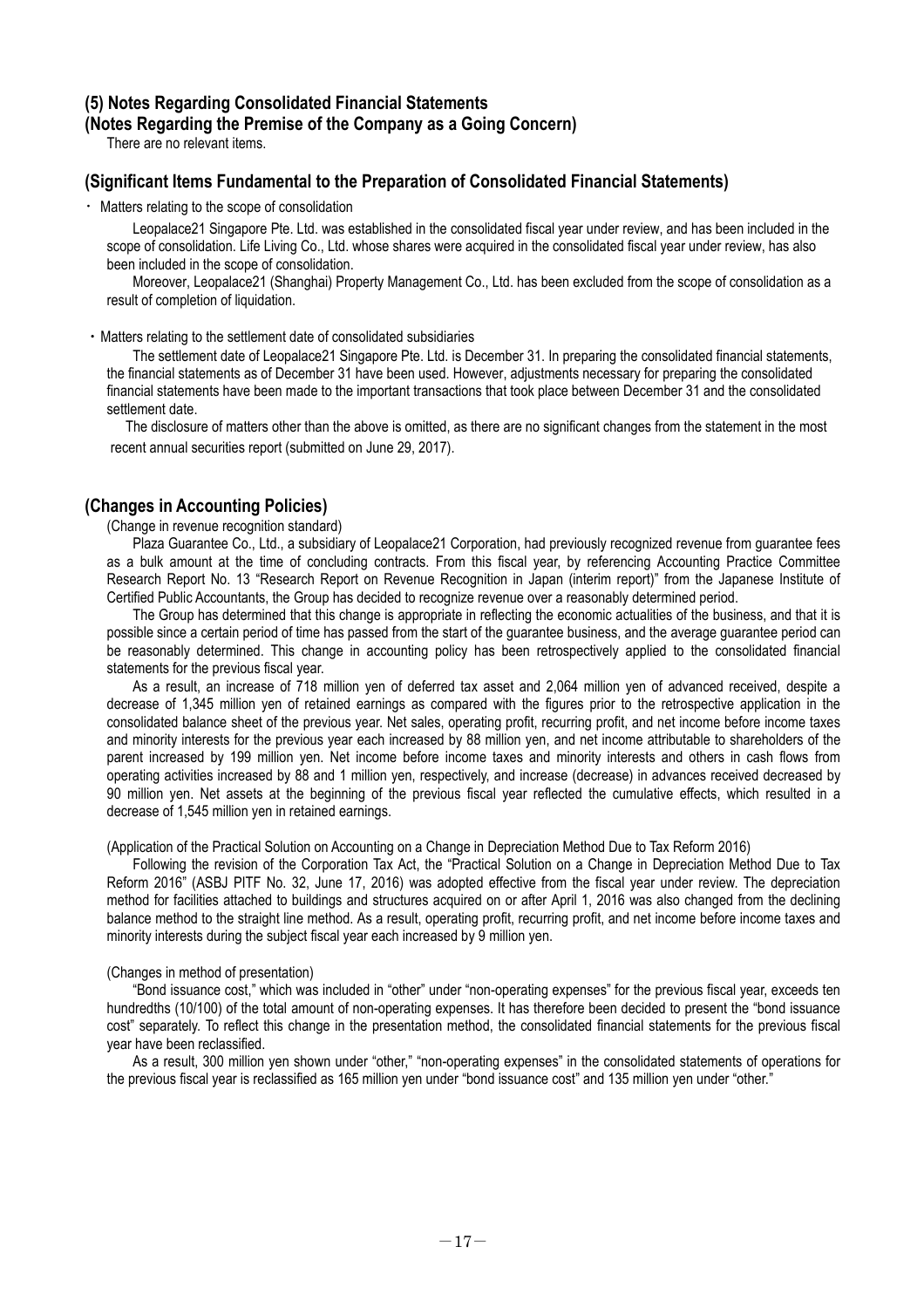### **(5) Notes Regarding Consolidated Financial Statements (Notes Regarding the Premise of the Company as a Going Concern)**

There are no relevant items.

# **(Significant Items Fundamental to the Preparation of Consolidated Financial Statements)**

・Matters relating to the scope of consolidation

Leopalace21 Singapore Pte. Ltd. was established in the consolidated fiscal year under review, and has been included in the scope of consolidation. Life Living Co., Ltd. whose shares were acquired in the consolidated fiscal year under review, has also been included in the scope of consolidation.

Moreover, Leopalace21 (Shanghai) Property Management Co., Ltd. has been excluded from the scope of consolidation as a result of completion of liquidation.

・Matters relating to the settlement date of consolidated subsidiaries

The settlement date of Leopalace21 Singapore Pte. Ltd. is December 31. In preparing the consolidated financial statements, the financial statements as of December 31 have been used. However, adjustments necessary for preparing the consolidated financial statements have been made to the important transactions that took place between December 31 and the consolidated settlement date.

The disclosure of matters other than the above is omitted, as there are no significant changes from the statement in the most recent annual securities report (submitted on June 29, 2017).

# **(Changes in Accounting Policies)**

### (Change in revenue recognition standard)

Plaza Guarantee Co., Ltd., a subsidiary of Leopalace21 Corporation, had previously recognized revenue from guarantee fees as a bulk amount at the time of concluding contracts. From this fiscal year, by referencing Accounting Practice Committee Research Report No. 13 "Research Report on Revenue Recognition in Japan (interim report)" from the Japanese Institute of Certified Public Accountants, the Group has decided to recognize revenue over a reasonably determined period.

The Group has determined that this change is appropriate in reflecting the economic actualities of the business, and that it is possible since a certain period of time has passed from the start of the guarantee business, and the average guarantee period can be reasonably determined. This change in accounting policy has been retrospectively applied to the consolidated financial statements for the previous fiscal year.

As a result, an increase of 718 million yen of deferred tax asset and 2,064 million yen of advanced received, despite a decrease of 1,345 million yen of retained earnings as compared with the figures prior to the retrospective application in the consolidated balance sheet of the previous year. Net sales, operating profit, recurring profit, and net income before income taxes and minority interests for the previous year each increased by 88 million yen, and net income attributable to shareholders of the parent increased by 199 million yen. Net income before income taxes and minority interests and others in cash flows from operating activities increased by 88 and 1 million yen, respectively, and increase (decrease) in advances received decreased by 90 million yen. Net assets at the beginning of the previous fiscal year reflected the cumulative effects, which resulted in a decrease of 1,545 million yen in retained earnings.

(Application of the Practical Solution on Accounting on a Change in Depreciation Method Due to Tax Reform 2016)

Following the revision of the Corporation Tax Act, the "Practical Solution on a Change in Depreciation Method Due to Tax Reform 2016" (ASBJ PITF No. 32, June 17, 2016) was adopted effective from the fiscal year under review. The depreciation method for facilities attached to buildings and structures acquired on or after April 1, 2016 was also changed from the declining balance method to the straight line method. As a result, operating profit, recurring profit, and net income before income taxes and minority interests during the subject fiscal year each increased by 9 million yen.

#### (Changes in method of presentation)

"Bond issuance cost," which was included in "other" under "non-operating expenses" for the previous fiscal year, exceeds ten hundredths (10/100) of the total amount of non-operating expenses. It has therefore been decided to present the "bond issuance cost" separately. To reflect this change in the presentation method, the consolidated financial statements for the previous fiscal year have been reclassified.

As a result, 300 million yen shown under "other," "non-operating expenses" in the consolidated statements of operations for the previous fiscal year is reclassified as 165 million yen under "bond issuance cost" and 135 million yen under "other."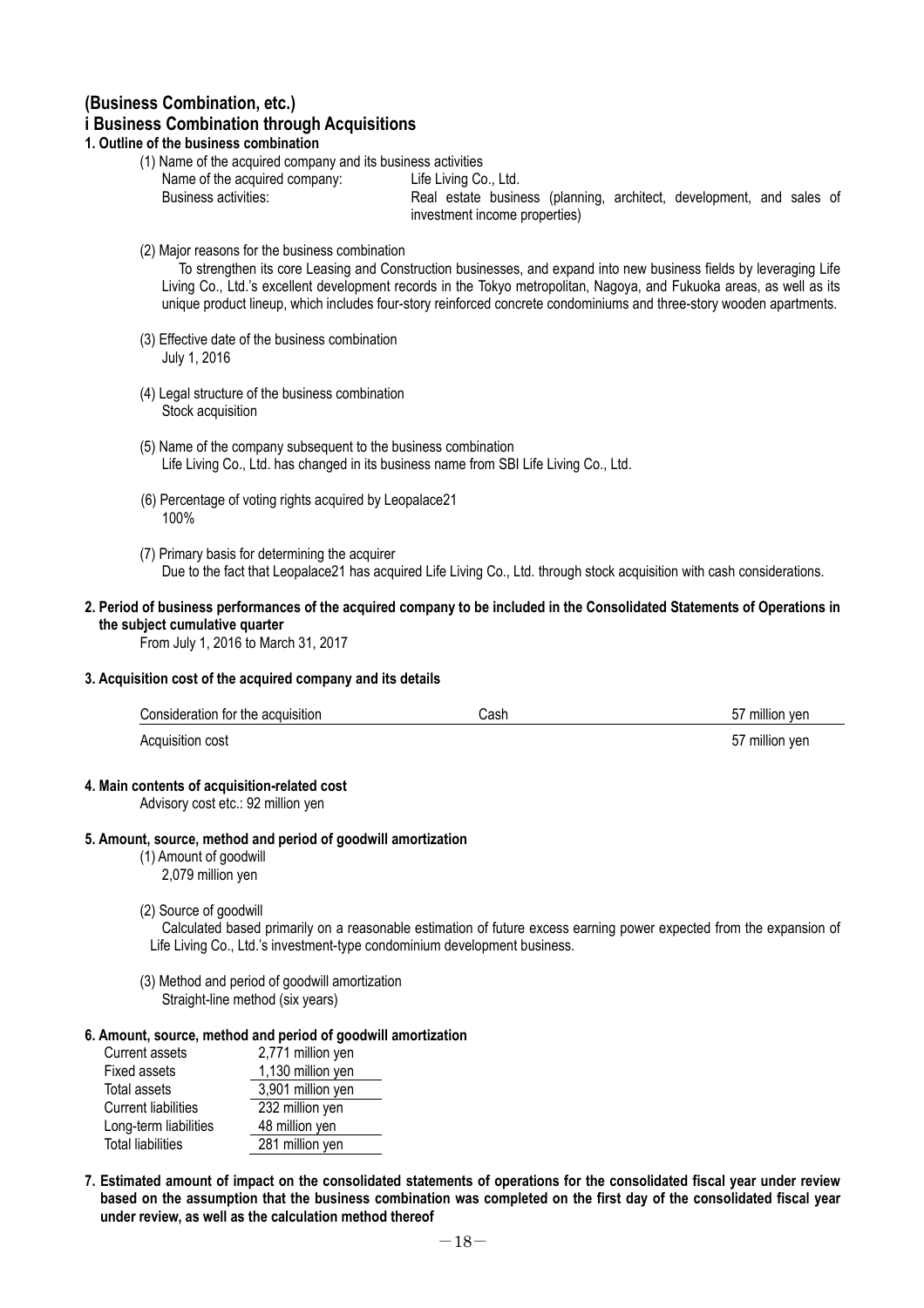# **(Business Combination, etc.) i Business Combination through Acquisitions**

### **1. Outline of the business combination**

- (1) Name of the acquired company and its business activities
	- Name of the acquired company: Life Living Co., Ltd.

Business activities: Real estate business (planning, architect, development, and sales of investment income properties)

(2) Major reasons for the business combination

To strengthen its core Leasing and Construction businesses, and expand into new business fields by leveraging Life Living Co., Ltd.'s excellent development records in the Tokyo metropolitan, Nagoya, and Fukuoka areas, as well as its unique product lineup, which includes four-story reinforced concrete condominiums and three-story wooden apartments.

- (3) Effective date of the business combination July 1, 2016
- (4) Legal structure of the business combination Stock acquisition
- (5) Name of the company subsequent to the business combination Life Living Co., Ltd. has changed in its business name from SBI Life Living Co., Ltd.
- (6) Percentage of voting rights acquired by Leopalace21 100%
- (7) Primary basis for determining the acquirer Due to the fact that Leopalace21 has acquired Life Living Co., Ltd. through stock acquisition with cash considerations.

## **2. Period of business performances of the acquired company to be included in the Consolidated Statements of Operations in the subject cumulative quarter**

From July 1, 2016 to March 31, 2017

### **3. Acquisition cost of the acquired company and its details**

| Consideration for the acquisition | شcash | million yen         |
|-----------------------------------|-------|---------------------|
| Acquisition cost                  |       | 7 million yen<br>57 |

### **4. Main contents of acquisition-related cost**

Advisory cost etc.: 92 million yen

### **5. Amount, source, method and period of goodwill amortization**

- (1) Amount of goodwill
	- 2,079 million yen
- (2) Source of goodwill

Calculated based primarily on a reasonable estimation of future excess earning power expected from the expansion of Life Living Co., Ltd.'s investment-type condominium development business.

(3) Method and period of goodwill amortization Straight-line method (six years)

### **6. Amount, source, method and period of goodwill amortization**

| 2,771 million yen |
|-------------------|
| 1,130 million yen |
| 3,901 million yen |
| 232 million yen   |
|                   |
| 281 million yen   |
|                   |

**7. Estimated amount of impact on the consolidated statements of operations for the consolidated fiscal year under review based on the assumption that the business combination was completed on the first day of the consolidated fiscal year under review, as well as the calculation method thereof**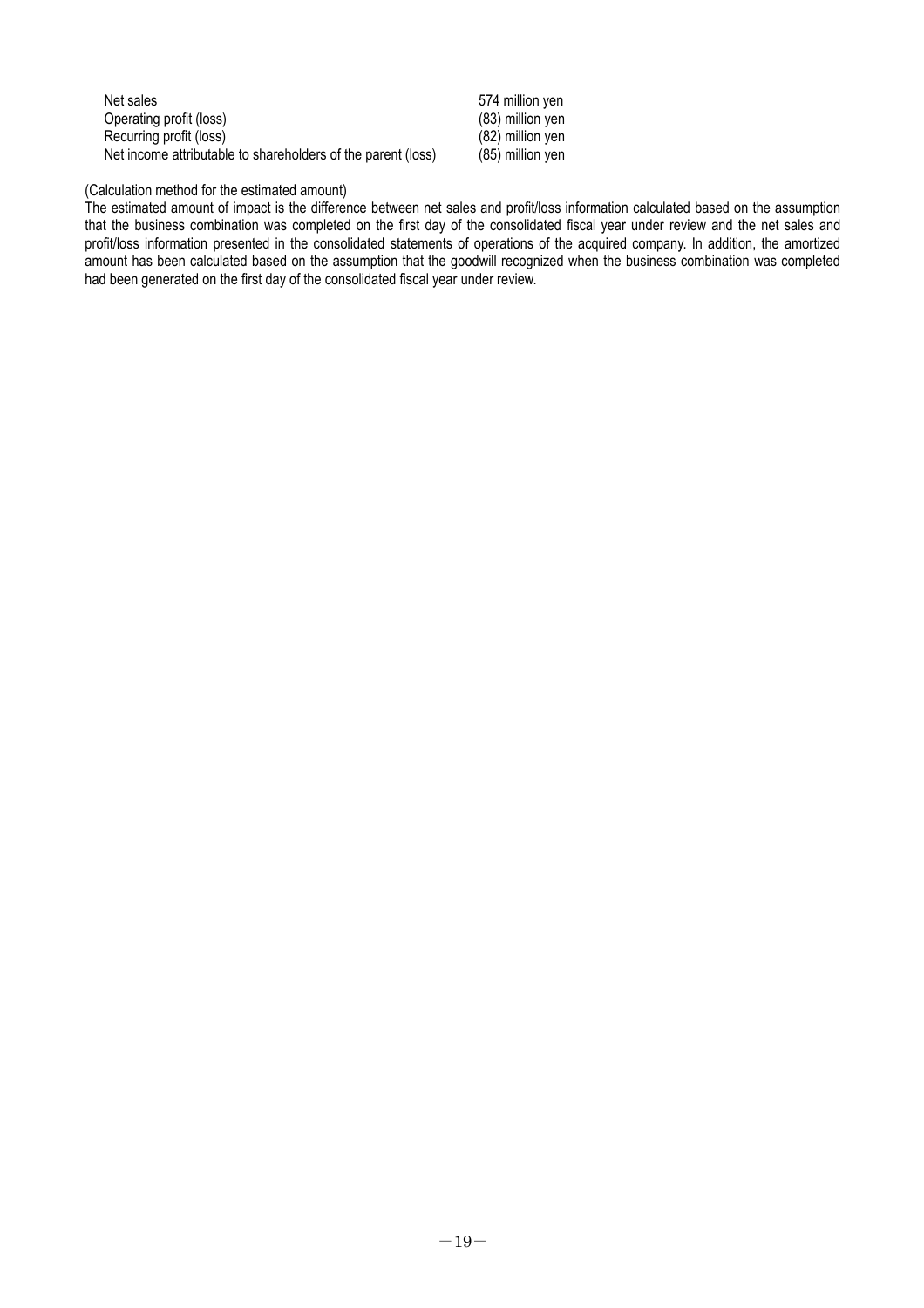| Net sales                                                    |  |
|--------------------------------------------------------------|--|
| Operating profit (loss)                                      |  |
| Recurring profit (loss)                                      |  |
| Net income attributable to shareholders of the parent (loss) |  |

574 million yen  $(83)$  million yen  $(82)$  million yen

 $(85)$  million yen

### (Calculation method for the estimated amount)

The estimated amount of impact is the difference between net sales and profit/loss information calculated based on the assumption that the business combination was completed on the first day of the consolidated fiscal year under review and the net sales and profit/loss information presented in the consolidated statements of operations of the acquired company. In addition, the amortized amount has been calculated based on the assumption that the goodwill recognized when the business combination was completed had been generated on the first day of the consolidated fiscal year under review.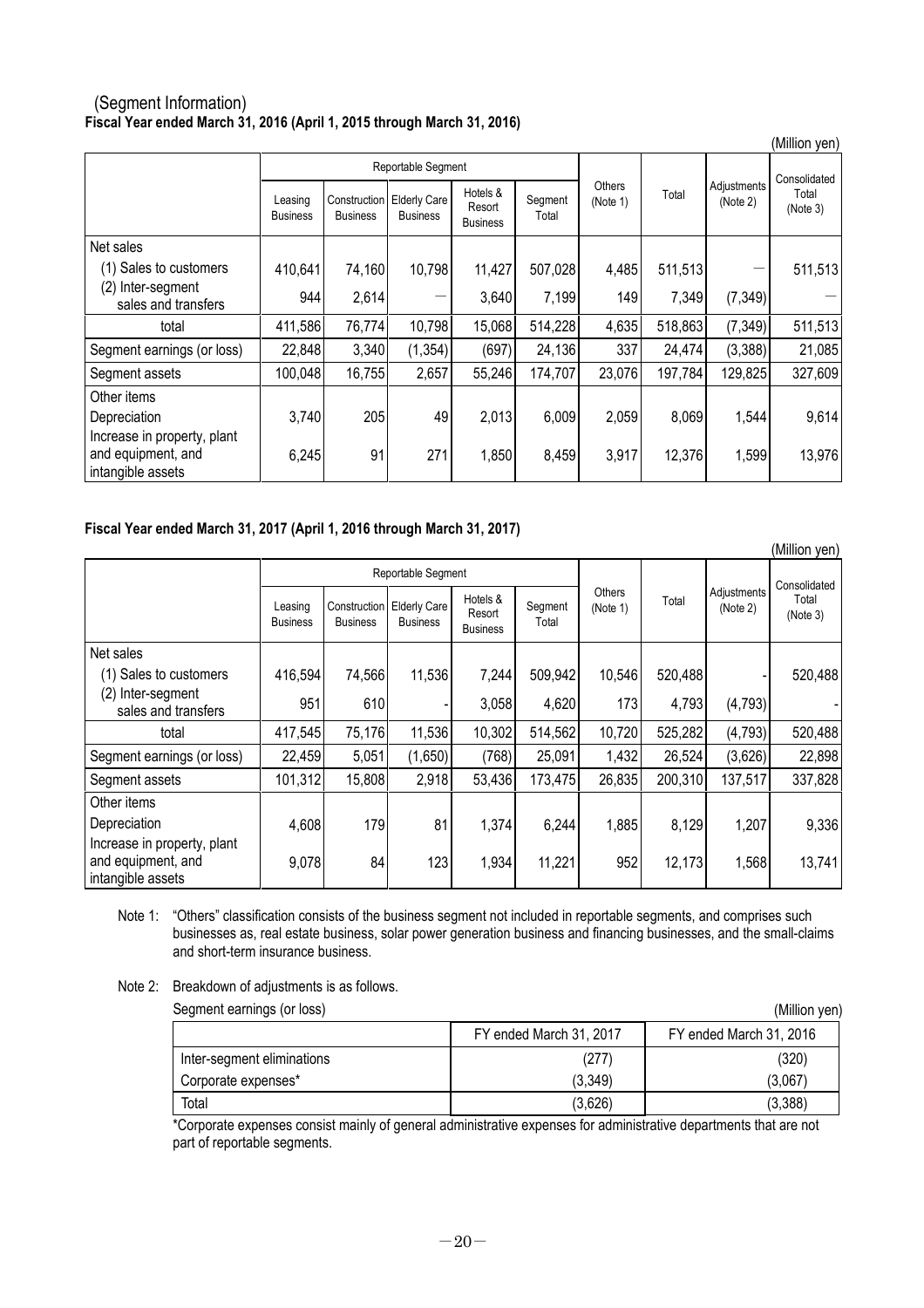## (Segment Information) **Fiscal Year ended March 31, 2016 (April 1, 2015 through March 31, 2016)**

|                                                                        |                            |                 |                                                |                                       |                  |                    |         |                         | (Million yen)     |
|------------------------------------------------------------------------|----------------------------|-----------------|------------------------------------------------|---------------------------------------|------------------|--------------------|---------|-------------------------|-------------------|
|                                                                        |                            |                 | Reportable Segment                             |                                       |                  |                    |         | Consolidated            |                   |
|                                                                        | Leasing<br><b>Business</b> | <b>Business</b> | Construction   Elderly Care<br><b>Business</b> | Hotels &<br>Resort<br><b>Business</b> | Segment<br>Total | Others<br>(Note 1) | Total   | Adjustments<br>(Note 2) | Total<br>(Note 3) |
| Net sales                                                              |                            |                 |                                                |                                       |                  |                    |         |                         |                   |
| (1) Sales to customers                                                 | 410,641                    | 74,160          | 10,798                                         | 11,427                                | 507,028          | 4,485              | 511,513 |                         | 511,513           |
| (2) Inter-segment<br>sales and transfers                               | 944                        | 2,614           |                                                | 3,640                                 | 7,199            | 149                | 7,349   | (7, 349)                |                   |
| total                                                                  | 411,586                    | 76,774          | 10,798                                         | 15,068                                | 514,228          | 4,635              | 518,863 | (7, 349)                | 511,513           |
| Segment earnings (or loss)                                             | 22,848                     | 3,340           | (1, 354)                                       | (697)                                 | 24,136           | 337                | 24,474  | (3,388)                 | 21,085            |
| Segment assets                                                         | 100,048                    | 16,755          | 2,657                                          | 55,246                                | 174,707          | 23,076             | 197,784 | 129,825                 | 327,609           |
| Other items                                                            |                            |                 |                                                |                                       |                  |                    |         |                         |                   |
| Depreciation                                                           | 3,740                      | 205             | 49                                             | 2,013                                 | 6,009            | 2,059              | 8,069   | 1,544                   | 9,614             |
| Increase in property, plant<br>and equipment, and<br>intangible assets | 6,245                      | 91              | 271                                            | 1,850                                 | 8,459            | 3,917              | 12,376  | 1,599                   | 13,976            |

## **Fiscal Year ended March 31, 2017 (April 1, 2016 through March 31, 2017)**

|                                                                        |                            |                 |                                                |                                       |                  |                    |         |                         | (Million yen)     |
|------------------------------------------------------------------------|----------------------------|-----------------|------------------------------------------------|---------------------------------------|------------------|--------------------|---------|-------------------------|-------------------|
|                                                                        |                            |                 | Reportable Segment                             |                                       |                  |                    |         |                         | Consolidated      |
|                                                                        | Leasing<br><b>Business</b> | <b>Business</b> | Construction   Elderly Care<br><b>Business</b> | Hotels &<br>Resort<br><b>Business</b> | Segment<br>Total | Others<br>(Note 1) | Total   | Adjustments<br>(Note 2) | Total<br>(Note 3) |
| Net sales                                                              |                            |                 |                                                |                                       |                  |                    |         |                         |                   |
| (1) Sales to customers                                                 | 416,594                    | 74,566          | 11,536                                         | 7,244                                 | 509,942          | 10,546             | 520,488 |                         | 520,488           |
| (2) Inter-segment<br>sales and transfers                               | 951                        | 610             |                                                | 3,058                                 | 4,620            | 173                | 4,793   | (4, 793)                |                   |
| total                                                                  | 417,545                    | 75,176          | 11,536                                         | 10,302                                | 514,562          | 10,720             | 525,282 | (4, 793)                | 520,488           |
| Segment earnings (or loss)                                             | 22,459                     | 5,051           | (1,650)                                        | (768)                                 | 25,091           | 1,432              | 26,524  | (3,626)                 | 22,898            |
| Segment assets                                                         | 101,312                    | 15,808          | 2,918                                          | 53,436                                | 173,475          | 26,835             | 200,310 | 137,517                 | 337,828           |
| Other items                                                            |                            |                 |                                                |                                       |                  |                    |         |                         |                   |
| Depreciation                                                           | 4,608                      | 179             | 81                                             | 1,374                                 | 6,244            | 1,885              | 8,129   | 1,207                   | 9,336             |
| Increase in property, plant<br>and equipment, and<br>intangible assets | 9,078                      | 84              | 123                                            | 1,934                                 | 11,221           | 952                | 12,173  | 1,568                   | 13,741            |

Note 1: "Others" classification consists of the business segment not included in reportable segments, and comprises such businesses as, real estate business, solar power generation business and financing businesses, and the small-claims and short-term insurance business.

Note 2: Breakdown of adjustments is as follows.

| Segment earnings (or loss) |                         | (Million yen)           |
|----------------------------|-------------------------|-------------------------|
|                            | FY ended March 31, 2017 | FY ended March 31, 2016 |
| Inter-segment eliminations | (277)                   | (320)                   |
| Corporate expenses*        | (3.349)                 | (3.067)                 |
| Total                      | (3,626)                 | (3,388)                 |

\*Corporate expenses consist mainly of general administrative expenses for administrative departments that are not part of reportable segments.